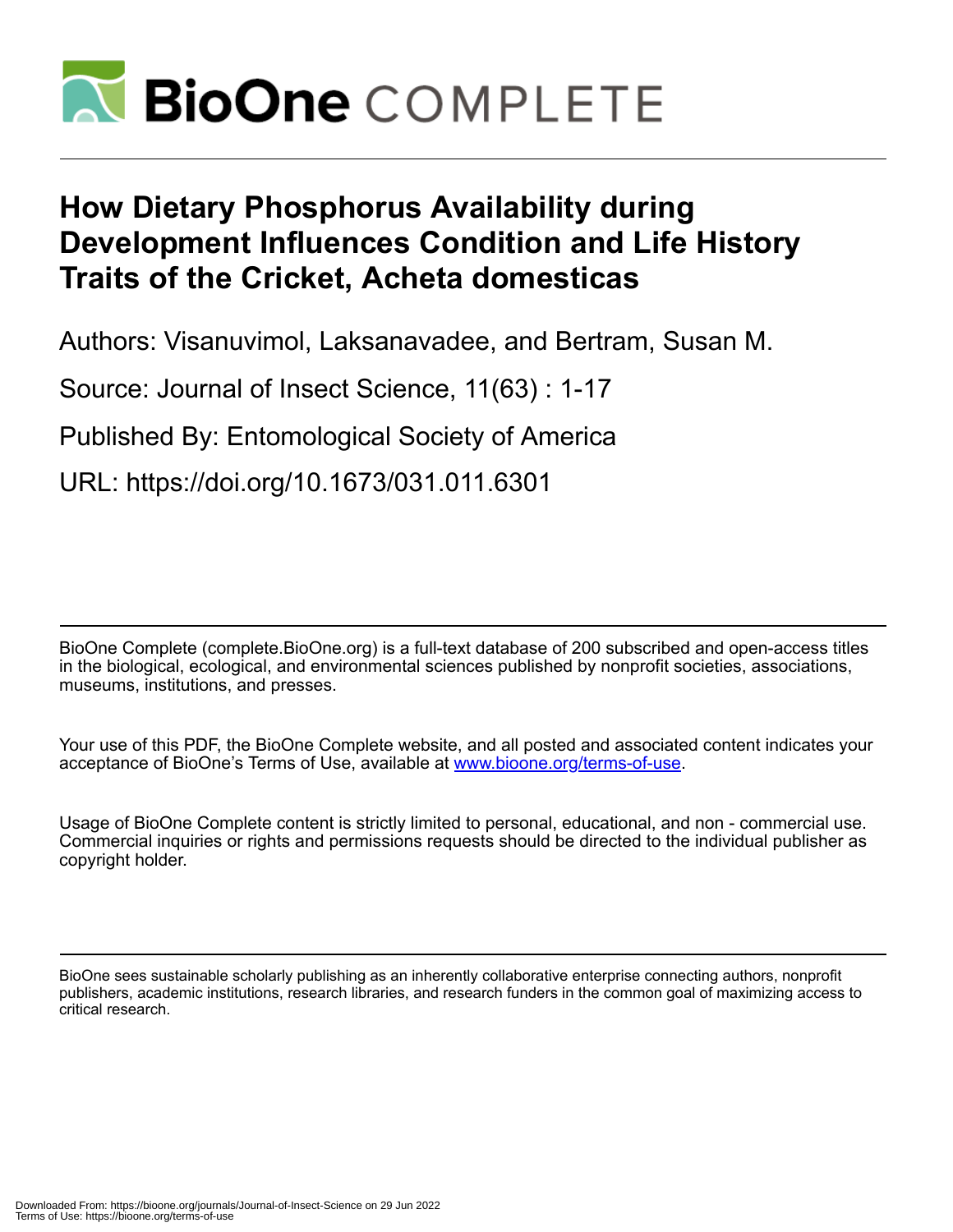

# **How Dietary Phosphorus Availability during Development Influences Condition and Life History Traits of the Cricket, Acheta domesticas**

Authors: Visanuvimol, Laksanavadee, and Bertram, Susan M.

Source: Journal of Insect Science, 11(63) : 1-17

Published By: Entomological Society of America

URL: https://doi.org/10.1673/031.011.6301

BioOne Complete (complete.BioOne.org) is a full-text database of 200 subscribed and open-access titles in the biological, ecological, and environmental sciences published by nonprofit societies, associations, museums, institutions, and presses.

Your use of this PDF, the BioOne Complete website, and all posted and associated content indicates your acceptance of BioOne's Terms of Use, available at www.bioone.org/terms-of-use.

Usage of BioOne Complete content is strictly limited to personal, educational, and non - commercial use. Commercial inquiries or rights and permissions requests should be directed to the individual publisher as copyright holder.

BioOne sees sustainable scholarly publishing as an inherently collaborative enterprise connecting authors, nonprofit publishers, academic institutions, research libraries, and research funders in the common goal of maximizing access to critical research.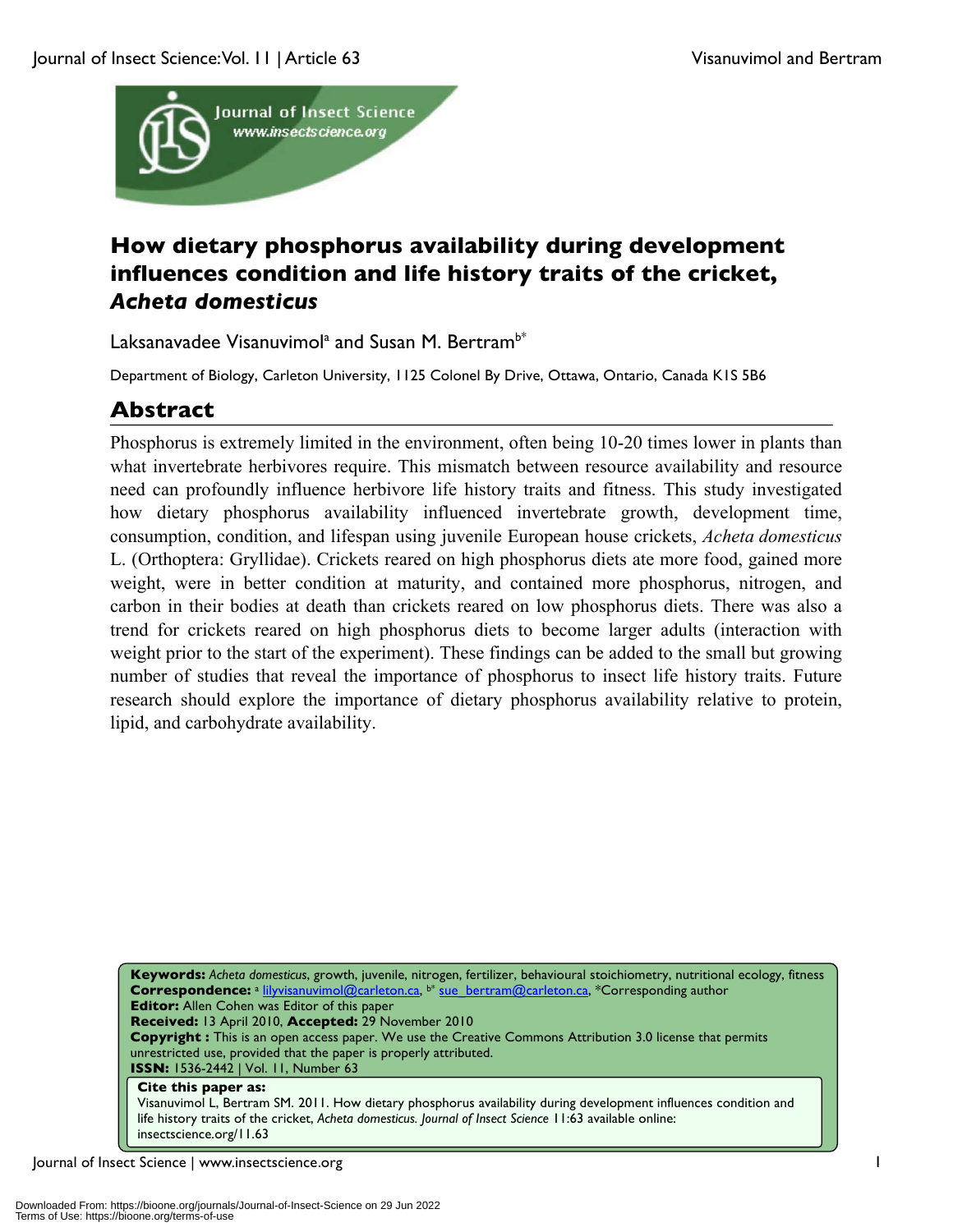

# **How dietary phosphorus availability during development influences condition and life history traits of the cricket,**  *Acheta domesticus*

Laksanavadee Visanuvimol<sup>a</sup> and Susan M. Bertram<sup>b\*</sup>

Department of Biology, Carleton University, 1125 Colonel By Drive, Ottawa, Ontario, Canada K1S 5B6

# **Abstract**

Phosphorus is extremely limited in the environment, often being 10-20 times lower in plants than what invertebrate herbivores require. This mismatch between resource availability and resource need can profoundly influence herbivore life history traits and fitness. This study investigated how dietary phosphorus availability influenced invertebrate growth, development time, consumption, condition, and lifespan using juvenile European house crickets, *Acheta domesticus* L. (Orthoptera: Gryllidae). Crickets reared on high phosphorus diets ate more food, gained more weight, were in better condition at maturity, and contained more phosphorus, nitrogen, and carbon in their bodies at death than crickets reared on low phosphorus diets. There was also a trend for crickets reared on high phosphorus diets to become larger adults (interaction with weight prior to the start of the experiment). These findings can be added to the small but growing number of studies that reveal the importance of phosphorus to insect life history traits. Future research should explore the importance of dietary phosphorus availability relative to protein, lipid, and carbohydrate availability.

**Keywords:** *Acheta domesticus*, growth, juvenile, nitrogen, fertilizer, behavioural stoichiometry, nutritional ecology, fitness **Correspondence:** <sup>a</sup> lilyvisanuvimol@carleton.ca, b\* sue\_bertram@carleton.ca, \*Corresponding author **Editor:** Allen Cohen was Editor of this paper **Received:** 13 April 2010, **Accepted:** 29 November 2010 **Copyright :** This is an open access paper. We use the Creative Commons Attribution 3.0 license that permits unrestricted use, provided that the paper is properly attributed. **ISSN:** 1536-2442 | Vol. 11, Number 63 **Cite this paper as:** Visanuvimol L, Bertram SM. 2011. How dietary phosphorus availability during development influences condition and life history traits of the cricket, *Acheta domesticus. Journal of Insect Science* 11:63 available online: insectscience.org/11.63

Journal of Insect Science | www.insectscience.org 1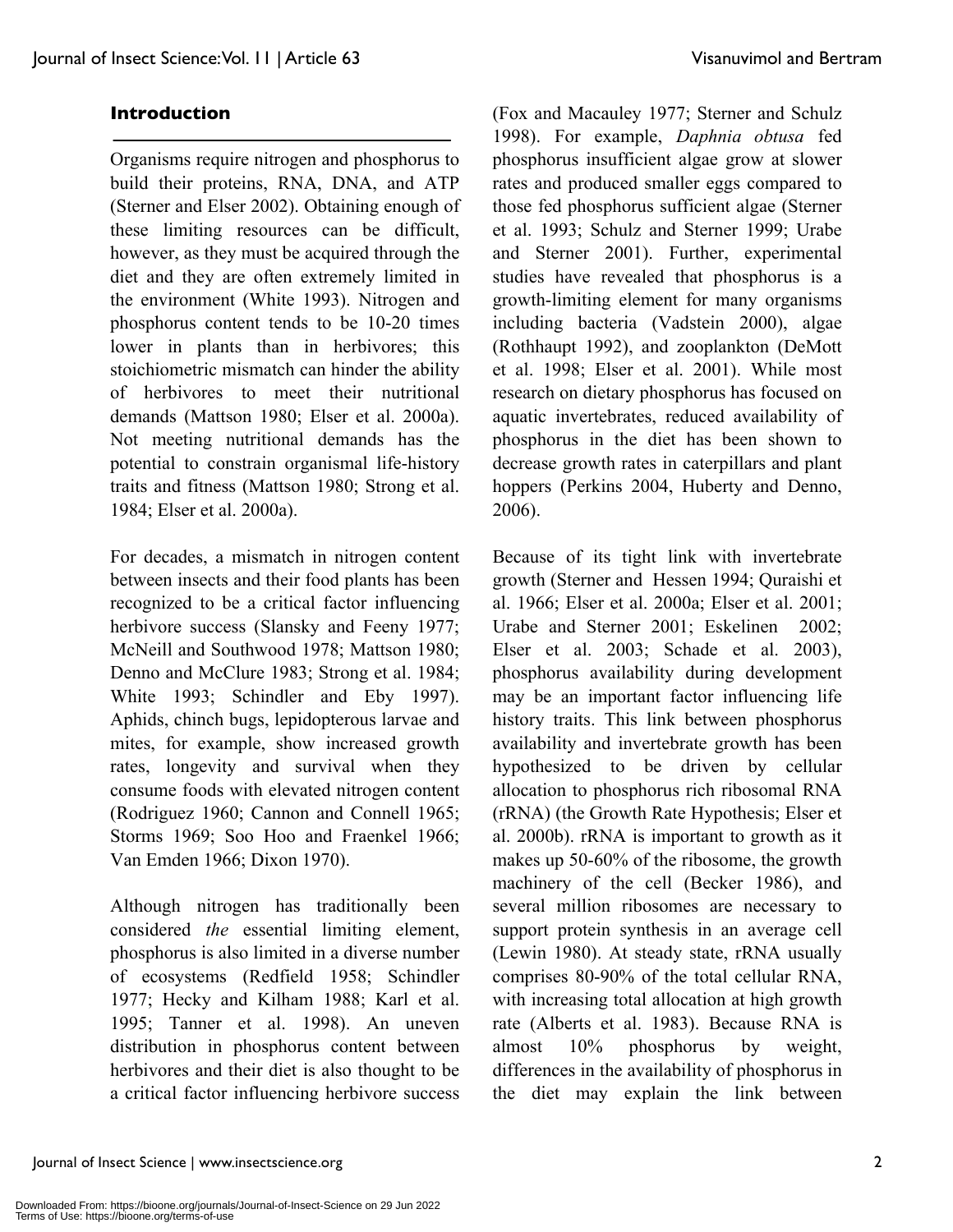#### **Introduction**

Organisms require nitrogen and phosphorus to build their proteins, RNA, DNA, and ATP (Sterner and Elser 2002). Obtaining enough of these limiting resources can be difficult, however, as they must be acquired through the diet and they are often extremely limited in the environment (White 1993). Nitrogen and phosphorus content tends to be 10-20 times lower in plants than in herbivores; this stoichiometric mismatch can hinder the ability of herbivores to meet their nutritional demands (Mattson 1980; Elser et al. 2000a). Not meeting nutritional demands has the potential to constrain organismal life-history traits and fitness (Mattson 1980; Strong et al. 1984; Elser et al. 2000a).

For decades, a mismatch in nitrogen content between insects and their food plants has been recognized to be a critical factor influencing herbivore success (Slansky and Feeny 1977; McNeill and Southwood 1978; Mattson 1980; Denno and McClure 1983; Strong et al. 1984; White 1993; Schindler and Eby 1997). Aphids, chinch bugs, lepidopterous larvae and mites, for example, show increased growth rates, longevity and survival when they consume foods with elevated nitrogen content (Rodriguez 1960; Cannon and Connell 1965; Storms 1969; Soo Hoo and Fraenkel 1966; Van Emden 1966; Dixon 1970).

Although nitrogen has traditionally been considered *the* essential limiting element, phosphorus is also limited in a diverse number of ecosystems (Redfield 1958; Schindler 1977; Hecky and Kilham 1988; Karl et al. 1995; Tanner et al. 1998). An uneven distribution in phosphorus content between herbivores and their diet is also thought to be a critical factor influencing herbivore success (Fox and Macauley 1977; Sterner and Schulz 1998). For example, *Daphnia obtusa* fed phosphorus insufficient algae grow at slower rates and produced smaller eggs compared to those fed phosphorus sufficient algae (Sterner et al. 1993; Schulz and Sterner 1999; Urabe and Sterner 2001). Further, experimental studies have revealed that phosphorus is a growth-limiting element for many organisms including bacteria (Vadstein 2000), algae (Rothhaupt 1992), and zooplankton (DeMott et al. 1998; Elser et al. 2001). While most research on dietary phosphorus has focused on aquatic invertebrates, reduced availability of phosphorus in the diet has been shown to decrease growth rates in caterpillars and plant hoppers (Perkins 2004, Huberty and Denno, 2006).

Because of its tight link with invertebrate growth (Sterner and Hessen 1994; Quraishi et al. 1966; Elser et al. 2000a; Elser et al. 2001; Urabe and Sterner 2001; Eskelinen 2002; Elser et al. 2003; Schade et al. 2003), phosphorus availability during development may be an important factor influencing life history traits. This link between phosphorus availability and invertebrate growth has been hypothesized to be driven by cellular allocation to phosphorus rich ribosomal RNA (rRNA) (the Growth Rate Hypothesis; Elser et al. 2000b). rRNA is important to growth as it makes up 50-60% of the ribosome, the growth machinery of the cell (Becker 1986), and several million ribosomes are necessary to support protein synthesis in an average cell (Lewin 1980). At steady state, rRNA usually comprises 80-90% of the total cellular RNA, with increasing total allocation at high growth rate (Alberts et al. 1983). Because RNA is almost 10% phosphorus by weight, differences in the availability of phosphorus in the diet may explain the link between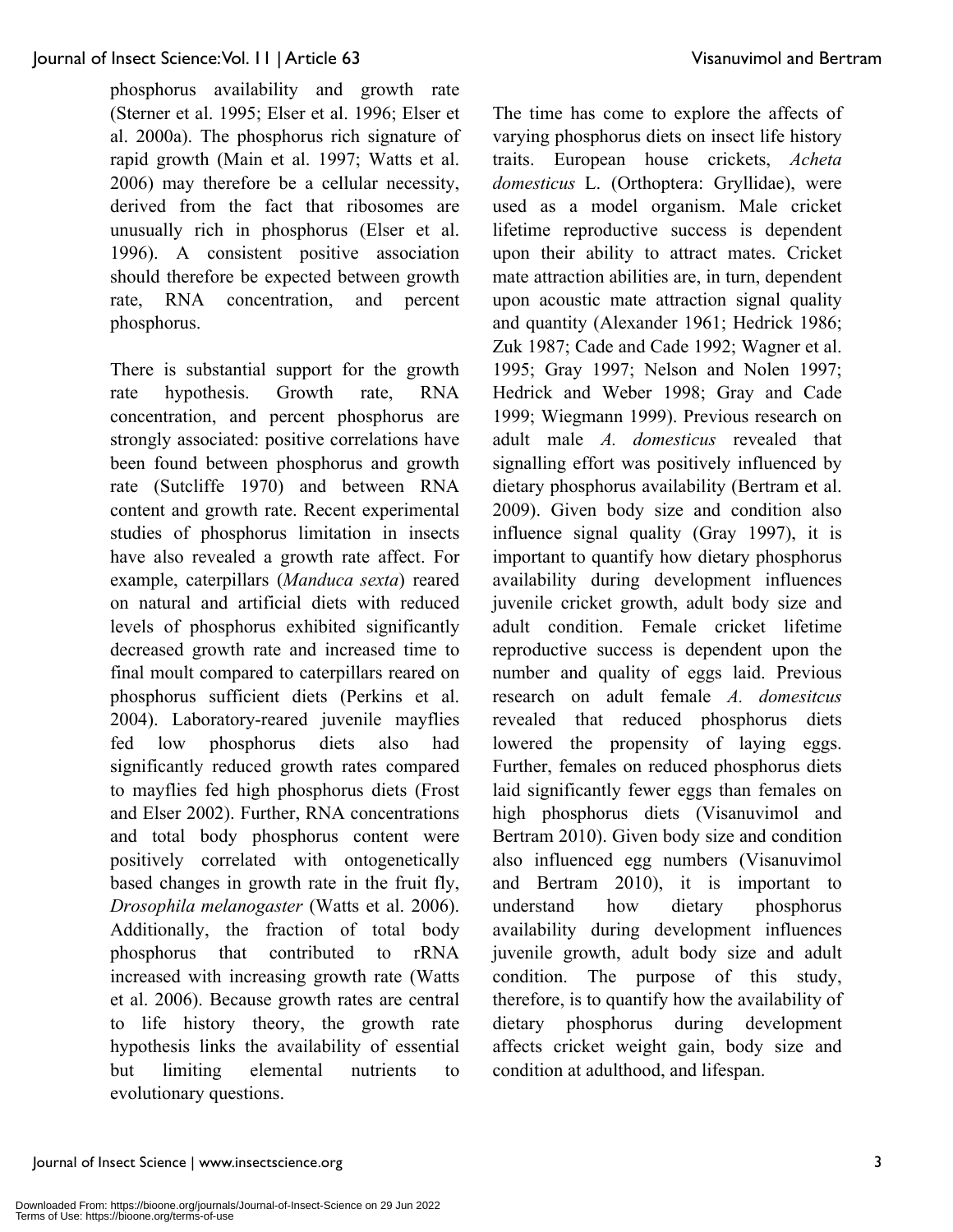phosphorus availability and growth rate (Sterner et al. 1995; Elser et al. 1996; Elser et al. 2000a). The phosphorus rich signature of rapid growth (Main et al. 1997; Watts et al. 2006) may therefore be a cellular necessity, derived from the fact that ribosomes are unusually rich in phosphorus (Elser et al. 1996). A consistent positive association should therefore be expected between growth rate, RNA concentration, and percent phosphorus.

There is substantial support for the growth rate hypothesis. Growth rate, RNA concentration, and percent phosphorus are strongly associated: positive correlations have been found between phosphorus and growth rate (Sutcliffe 1970) and between RNA content and growth rate. Recent experimental studies of phosphorus limitation in insects have also revealed a growth rate affect. For example, caterpillars (*Manduca sexta*) reared on natural and artificial diets with reduced levels of phosphorus exhibited significantly decreased growth rate and increased time to final moult compared to caterpillars reared on phosphorus sufficient diets (Perkins et al. 2004). Laboratory-reared juvenile mayflies fed low phosphorus diets also had significantly reduced growth rates compared to mayflies fed high phosphorus diets (Frost and Elser 2002). Further, RNA concentrations and total body phosphorus content were positively correlated with ontogenetically based changes in growth rate in the fruit fly, *Drosophila melanogaster* (Watts et al. 2006). Additionally, the fraction of total body phosphorus that contributed to rRNA increased with increasing growth rate (Watts et al. 2006). Because growth rates are central to life history theory, the growth rate hypothesis links the availability of essential but limiting elemental nutrients to evolutionary questions.

The time has come to explore the affects of varying phosphorus diets on insect life history traits. European house crickets, *Acheta domesticus* L. (Orthoptera: Gryllidae), were used as a model organism. Male cricket lifetime reproductive success is dependent upon their ability to attract mates. Cricket mate attraction abilities are, in turn, dependent upon acoustic mate attraction signal quality and quantity (Alexander 1961; Hedrick 1986; Zuk 1987; Cade and Cade 1992; Wagner et al. 1995; Gray 1997; Nelson and Nolen 1997; Hedrick and Weber 1998; Gray and Cade 1999; Wiegmann 1999). Previous research on adult male *A. domesticus* revealed that signalling effort was positively influenced by dietary phosphorus availability (Bertram et al. 2009). Given body size and condition also influence signal quality (Gray 1997), it is important to quantify how dietary phosphorus availability during development influences juvenile cricket growth, adult body size and adult condition. Female cricket lifetime reproductive success is dependent upon the number and quality of eggs laid. Previous research on adult female *A. domesitcus* revealed that reduced phosphorus diets lowered the propensity of laying eggs. Further, females on reduced phosphorus diets laid significantly fewer eggs than females on high phosphorus diets (Visanuvimol and Bertram 2010). Given body size and condition also influenced egg numbers (Visanuvimol and Bertram 2010), it is important to understand how dietary phosphorus availability during development influences juvenile growth, adult body size and adult condition. The purpose of this study, therefore, is to quantify how the availability of dietary phosphorus during development affects cricket weight gain, body size and condition at adulthood, and lifespan.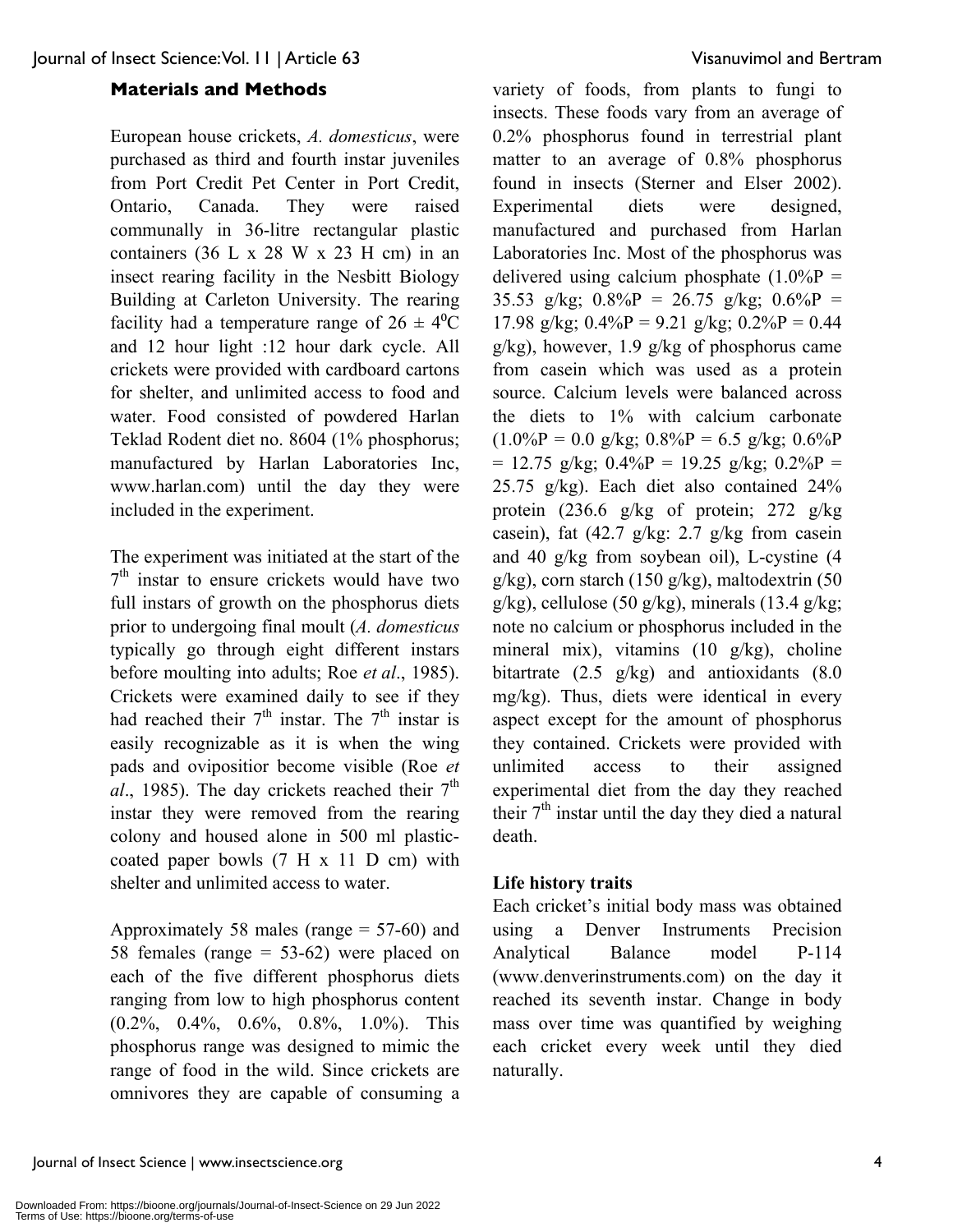#### **Materials and Methods**

European house crickets, *A. domesticus*, were purchased as third and fourth instar juveniles from Port Credit Pet Center in Port Credit, Ontario, Canada. They were raised communally in 36-litre rectangular plastic containers  $(36 L x 28 W x 23 H cm)$  in an insect rearing facility in the Nesbitt Biology Building at Carleton University. The rearing facility had a temperature range of  $26 \pm 4$ <sup>o</sup>C and 12 hour light :12 hour dark cycle. All crickets were provided with cardboard cartons for shelter, and unlimited access to food and water. Food consisted of powdered Harlan Teklad Rodent diet no. 8604 (1% phosphorus; manufactured by Harlan Laboratories Inc, www.harlan.com) until the day they were included in the experiment.

The experiment was initiated at the start of the  $7<sup>th</sup>$  instar to ensure crickets would have two full instars of growth on the phosphorus diets prior to undergoing final moult (*A. domesticus* typically go through eight different instars before moulting into adults; Roe *et al*., 1985). Crickets were examined daily to see if they had reached their  $7<sup>th</sup>$  instar. The  $7<sup>th</sup>$  instar is easily recognizable as it is when the wing pads and ovipositior become visible (Roe *et*  $al_{1}$ , 1985). The day crickets reached their  $7<sup>th</sup>$ instar they were removed from the rearing colony and housed alone in 500 ml plasticcoated paper bowls (7 H x 11 D cm) with shelter and unlimited access to water.

Approximately 58 males (range = 57-60) and 58 females (range = 53-62) were placed on each of the five different phosphorus diets ranging from low to high phosphorus content (0.2%, 0.4%, 0.6%, 0.8%, 1.0%). This phosphorus range was designed to mimic the range of food in the wild. Since crickets are omnivores they are capable of consuming a variety of foods, from plants to fungi to insects. These foods vary from an average of 0.2% phosphorus found in terrestrial plant matter to an average of 0.8% phosphorus found in insects (Sterner and Elser 2002). Experimental diets were designed, manufactured and purchased from Harlan Laboratories Inc. Most of the phosphorus was delivered using calcium phosphate  $(1.0\%P)$ 35.53 g/kg;  $0.8\%$ P = 26.75 g/kg;  $0.6\%$ P = 17.98 g/kg;  $0.4\%$ P = 9.21 g/kg;  $0.2\%$ P = 0.44 g/kg), however, 1.9 g/kg of phosphorus came from casein which was used as a protein source. Calcium levels were balanced across the diets to 1% with calcium carbonate  $(1.0\%P = 0.0 \text{ g/kg}; 0.8\%P = 6.5 \text{ g/kg}; 0.6\%P$  $= 12.75$  g/kg;  $0.4\%P = 19.25$  g/kg;  $0.2\%P =$ 25.75 g/kg). Each diet also contained 24% protein (236.6 g/kg of protein; 272 g/kg casein), fat (42.7 g/kg: 2.7 g/kg from casein and 40 g/kg from soybean oil), L-cystine (4 g/kg), corn starch (150 g/kg), maltodextrin (50 g/kg), cellulose (50 g/kg), minerals (13.4 g/kg; note no calcium or phosphorus included in the mineral mix), vitamins (10 g/kg), choline bitartrate (2.5 g/kg) and antioxidants (8.0 mg/kg). Thus, diets were identical in every aspect except for the amount of phosphorus they contained. Crickets were provided with unlimited access to their assigned experimental diet from the day they reached their  $7<sup>th</sup>$  instar until the day they died a natural death.

#### **Life history traits**

Each cricket's initial body mass was obtained using a Denver Instruments Precision Analytical Balance model P-114 (www.denverinstruments.com) on the day it reached its seventh instar. Change in body mass over time was quantified by weighing each cricket every week until they died naturally.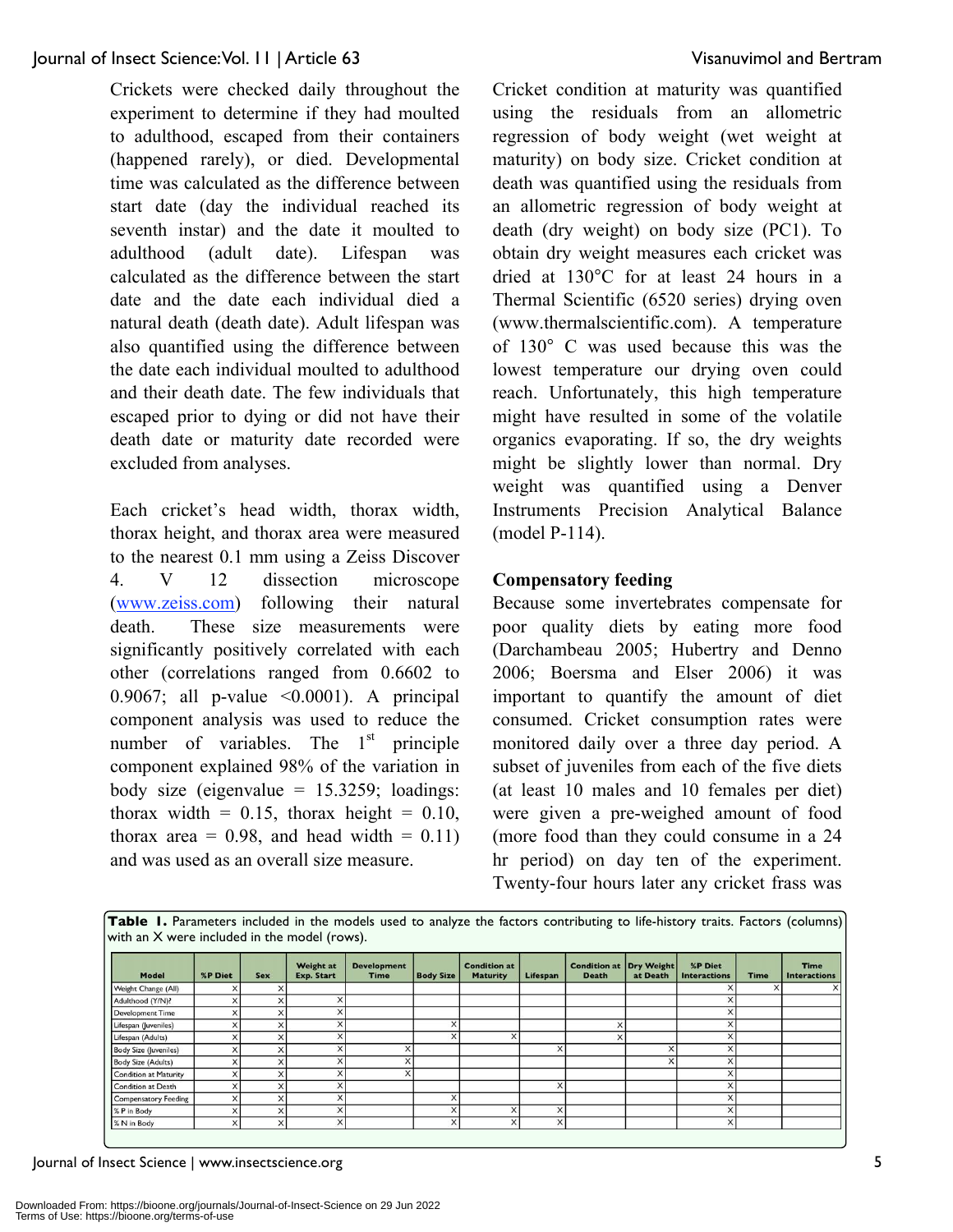Crickets were checked daily throughout the experiment to determine if they had moulted to adulthood, escaped from their containers (happened rarely), or died. Developmental time was calculated as the difference between start date (day the individual reached its seventh instar) and the date it moulted to adulthood (adult date). Lifespan was calculated as the difference between the start date and the date each individual died a natural death (death date). Adult lifespan was also quantified using the difference between the date each individual moulted to adulthood and their death date. The few individuals that escaped prior to dying or did not have their death date or maturity date recorded were excluded from analyses.

Each cricket's head width, thorax width, thorax height, and thorax area were measured to the nearest 0.1 mm using a Zeiss Discover 4. V 12 dissection microscope (www.zeiss.com) following their natural death. These size measurements were significantly positively correlated with each other (correlations ranged from 0.6602 to 0.9067; all p-value <0.0001). A principal component analysis was used to reduce the number of variables. The  $1<sup>st</sup>$  principle component explained 98% of the variation in body size (eigenvalue  $= 15.3259$ ; loadings: thorax width =  $0.15$ , thorax height =  $0.10$ , thorax area =  $0.98$ , and head width =  $0.11$ ) and was used as an overall size measure.

Cricket condition at maturity was quantified using the residuals from an allometric regression of body weight (wet weight at maturity) on body size. Cricket condition at death was quantified using the residuals from an allometric regression of body weight at death (dry weight) on body size (PC1). To obtain dry weight measures each cricket was dried at 130°C for at least 24 hours in a Thermal Scientific (6520 series) drying oven (www.thermalscientific.com). A temperature of 130° C was used because this was the lowest temperature our drying oven could reach. Unfortunately, this high temperature might have resulted in some of the volatile organics evaporating. If so, the dry weights might be slightly lower than normal. Dry weight was quantified using a Denver Instruments Precision Analytical Balance (model P-114).

#### **Compensatory feeding**

Because some invertebrates compensate for poor quality diets by eating more food (Darchambeau 2005; Hubertry and Denno 2006; Boersma and Elser 2006) it was important to quantify the amount of diet consumed. Cricket consumption rates were monitored daily over a three day period. A subset of juveniles from each of the five diets (at least 10 males and 10 females per diet) were given a pre-weighed amount of food (more food than they could consume in a 24 hr period) on day ten of the experiment. Twenty-four hours later any cricket frass was

| Table I. Parameters included in the models used to analyze the factors contributing to life-history traits. Factors (columns) |  |  |  |  |  |  |
|-------------------------------------------------------------------------------------------------------------------------------|--|--|--|--|--|--|
| with an X were included in the model (rows).                                                                                  |  |  |  |  |  |  |

| Model                        | <b>%P Diet</b>          | <b>Sex</b>  | <b>Weight at</b><br><b>Exp. Start</b> | <b>Development</b><br><b>Time</b> | <b>Body Size</b> | <b>Condition at</b><br><b>Maturity</b> | Lifespan | <b>Condition at Dry Weight</b><br><b>Death</b> | at Death | %P Diet<br><b>Interactions</b> | <b>Time</b> | <b>Time</b><br><b>Interactions</b> |
|------------------------------|-------------------------|-------------|---------------------------------------|-----------------------------------|------------------|----------------------------------------|----------|------------------------------------------------|----------|--------------------------------|-------------|------------------------------------|
| Weight Change (All)          | ×                       |             |                                       |                                   |                  |                                        |          |                                                |          |                                |             |                                    |
| Adulthood (Y/N)?             | N<br>ᄉ                  |             |                                       |                                   |                  |                                        |          |                                                |          |                                |             |                                    |
| Development Time             | ×                       |             |                                       |                                   |                  |                                        |          |                                                |          |                                |             |                                    |
| Lifespan (Juveniles)         | w                       |             |                                       |                                   |                  |                                        |          | $\checkmark$                                   |          |                                |             |                                    |
| Lifespan (Adults)            |                         |             | $\ddot{\phantom{a}}$                  |                                   |                  |                                        |          | ×                                              |          |                                |             |                                    |
| <b>Body Size (Juveniles)</b> |                         |             |                                       | X                                 |                  |                                        | x        |                                                |          |                                |             |                                    |
| Body Size (Adults)           |                         |             |                                       | $\times$                          |                  |                                        |          |                                                |          |                                |             |                                    |
| <b>Condition at Maturity</b> |                         |             |                                       | $\times$                          |                  |                                        |          |                                                |          |                                |             |                                    |
| Condition at Death           |                         |             |                                       |                                   |                  |                                        | $\sim$   |                                                |          |                                |             |                                    |
| <b>Compensatory Feeding</b>  | X                       |             |                                       |                                   |                  |                                        |          |                                                |          |                                |             |                                    |
| % P in Body                  |                         |             |                                       |                                   |                  |                                        |          |                                                |          |                                |             |                                    |
| % N in Body                  | $\overline{\mathsf{x}}$ | $\check{ }$ |                                       |                                   |                  |                                        | X        |                                                |          |                                |             |                                    |

Journal of Insect Science | www.insectscience.org 5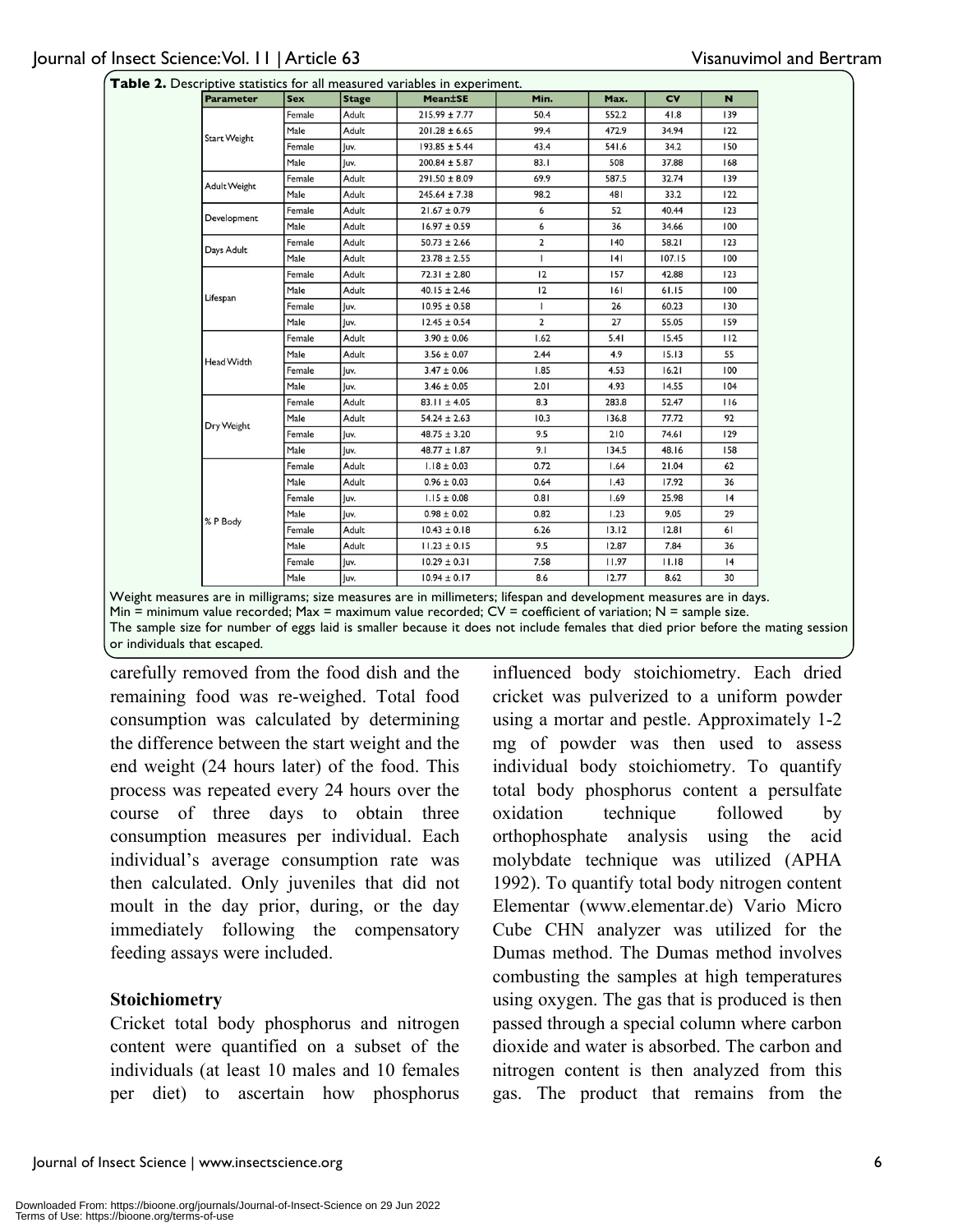|  | Table 2. Descriptive statistics for all measured variables in experiment. |
|--|---------------------------------------------------------------------------|
|--|---------------------------------------------------------------------------|

| <b>Parameter</b>    | <b>Sex</b> | <b>Stage</b> | <b>Mean±SE</b>    | Min.           | Max.  | <b>CV</b> | N   |
|---------------------|------------|--------------|-------------------|----------------|-------|-----------|-----|
|                     | Female     | Adult        | $215.99 \pm 7.77$ | 50.4           | 552.2 | 41.8      | 139 |
|                     | Male       | Adult        | $201.28 \pm 6.65$ | 99.4           | 472.9 | 34.94     | 122 |
| <b>Start Weight</b> | Female     | Juv.         | $193.85 \pm 5.44$ | 43.4           | 541.6 | 34.2      | 150 |
|                     | Male       | Juv.         | $200.84 \pm 5.87$ | 83.1           | 508   | 37.88     | 168 |
|                     | Female     | Adult        | $291.50 \pm 8.09$ | 69.9           | 587.5 | 32.74     | 139 |
| Adult Weight        | Male       | Adult        | $245.64 \pm 7.38$ | 98.2           | 481   | 33.2      | 122 |
|                     | Female     | Adult        | $21.67 \pm 0.79$  | 6              | 52    | 40.44     | 123 |
| Development         | Male       | Adult        | $16.97 \pm 0.59$  | 6              | 36    | 34.66     | 100 |
| Days Adult          | Female     | Adult        | $50.73 \pm 2.66$  | $\mathbf{2}$   | 140   | 58.21     | 123 |
|                     | Male       | Adult        | $23.78 \pm 2.55$  | $\mathbf{I}$   | 4     | 107.15    | 100 |
|                     | Female     | Adult        | $72.31 \pm 2.80$  | 12             | 157   | 42.88     | 123 |
|                     | Male       | Adult        | $40.15 \pm 2.46$  | 12             | 161   | 61.15     | 100 |
| Lifespan            | Female     | Juv.         | $10.95 \pm 0.58$  | 1              | 26    | 60.23     | 130 |
|                     | Male       | luv.         | $12.45 \pm 0.54$  | $\overline{2}$ | 27    | 55.05     | 159 |
|                     | Female     | Adult        | $3.90 \pm 0.06$   | 1.62           | 5.41  | 15.45     | 112 |
| Head Width          | Male       | Adult        | $3.56 \pm 0.07$   | 2.44           | 4.9   | 15.13     | 55  |
|                     | Female     | Juv.         | $3.47 \pm 0.06$   | 1.85           | 4.53  | 16.21     | 100 |
|                     | Male       | luv.         | $3.46 \pm 0.05$   | 2.01           | 4.93  | 14.55     | 104 |
|                     | Female     | Adult        | $83.11 \pm 4.05$  | 8.3            | 283.8 | 52.47     | 116 |
| Dry Weight          | Male       | Adult        | $54.24 \pm 2.63$  | 10.3           | 136.8 | 77.72     | 92  |
|                     | Female     | Juv.         | $48.75 \pm 3.20$  | 9.5            | 210   | 74.61     | 129 |
|                     | Male       | luv.         | $48.77 \pm 1.87$  | 9.1            | 134.5 | 48.16     | 158 |
|                     | Female     | Adult        | $1.18 \pm 0.03$   | 0.72           | 1.64  | 21.04     | 62  |
|                     | Male       | Adult        | $0.96 \pm 0.03$   | 0.64           | 1.43  | 17.92     | 36  |
|                     | Female     | Juv.         | $1.15 \pm 0.08$   | 0.81           | 1.69  | 25.98     | 4   |
| % P Body            | Male       | luv.         | $0.98 \pm 0.02$   | 0.82           | 1.23  | 9.05      | 29  |
|                     | Female     | Adult        | $10.43 \pm 0.18$  | 6.26           | 13.12 | 12.81     | 61  |
|                     | Male       | Adult        | $11.23 \pm 0.15$  | 9.5            | 12.87 | 7.84      | 36  |
|                     | Female     | Juv.         | $10.29 \pm 0.31$  | 7.58           | 11.97 | 11.18     | 4   |
|                     | Male       | luv.         | $10.94 \pm 0.17$  | 8.6            | 12.77 | 8.62      | 30  |

The sample size for number of eggs laid is smaller because it does not include females that died prior before the mating session or individuals that escaped.

carefully removed from the food dish and the remaining food was re-weighed. Total food consumption was calculated by determining the difference between the start weight and the end weight (24 hours later) of the food. This process was repeated every 24 hours over the course of three days to obtain three consumption measures per individual. Each individual's average consumption rate was then calculated. Only juveniles that did not moult in the day prior, during, or the day immediately following the compensatory feeding assays were included.

#### **Stoichiometry**

Cricket total body phosphorus and nitrogen content were quantified on a subset of the individuals (at least 10 males and 10 females per diet) to ascertain how phosphorus influenced body stoichiometry. Each dried cricket was pulverized to a uniform powder using a mortar and pestle. Approximately 1-2 mg of powder was then used to assess individual body stoichiometry. To quantify total body phosphorus content a persulfate oxidation technique followed by orthophosphate analysis using the acid molybdate technique was utilized (APHA 1992). To quantify total body nitrogen content Elementar (www.elementar.de) Vario Micro Cube CHN analyzer was utilized for the Dumas method. The Dumas method involves combusting the samples at high temperatures using oxygen. The gas that is produced is then passed through a special column where carbon dioxide and water is absorbed. The carbon and nitrogen content is then analyzed from this gas. The product that remains from the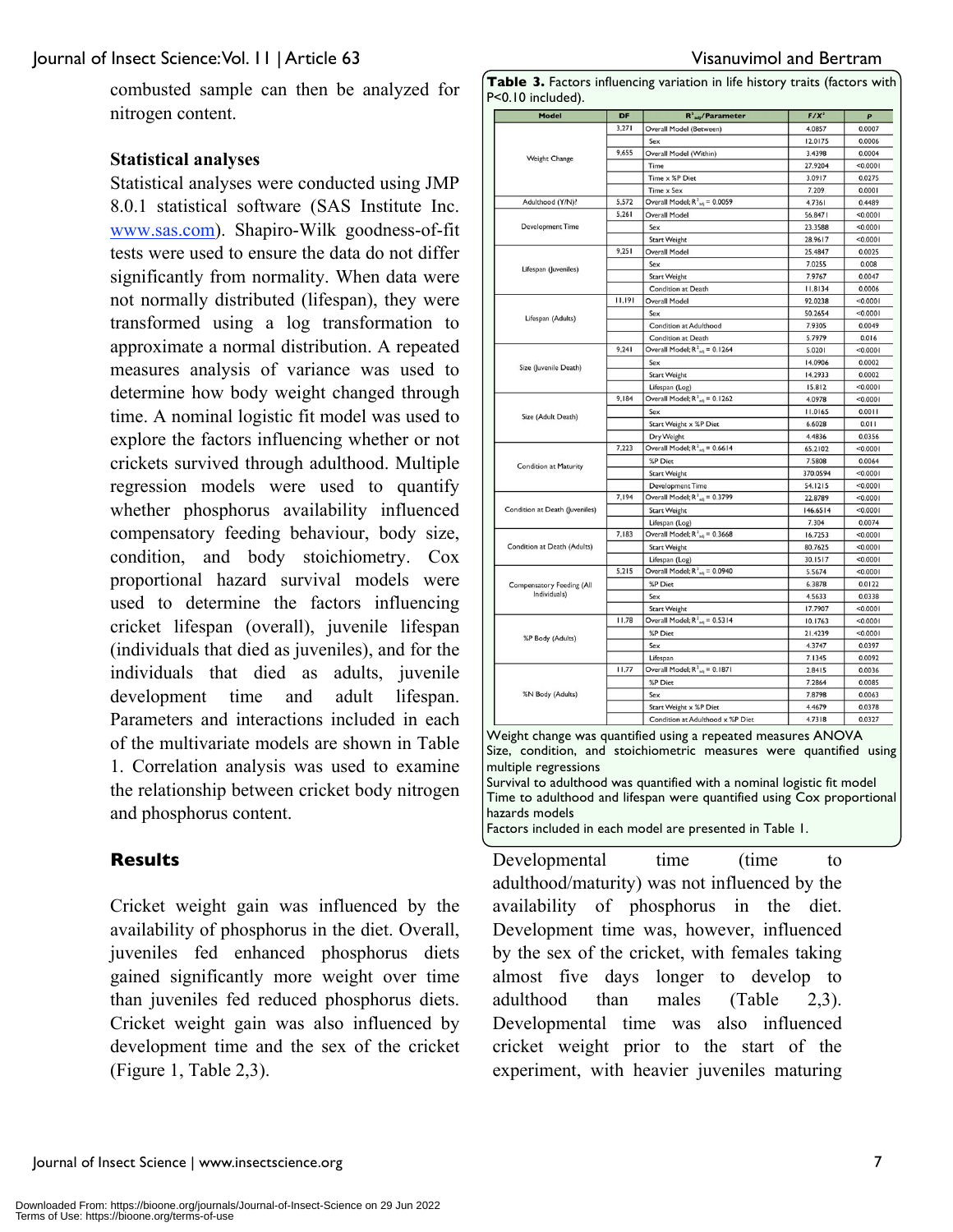combusted sample can then be analyzed for nitrogen content.

#### **Statistical analyses**

Statistical analyses were conducted using JMP 8.0.1 statistical software (SAS Institute Inc. www.sas.com). Shapiro-Wilk goodness-of-fit tests were used to ensure the data do not differ significantly from normality. When data were not normally distributed (lifespan), they were transformed using a log transformation to approximate a normal distribution. A repeated measures analysis of variance was used to determine how body weight changed through time. A nominal logistic fit model was used to explore the factors influencing whether or not crickets survived through adulthood. Multiple regression models were used to quantify whether phosphorus availability influenced compensatory feeding behaviour, body size, condition, and body stoichiometry. Cox proportional hazard survival models were used to determine the factors influencing cricket lifespan (overall), juvenile lifespan (individuals that died as juveniles), and for the individuals that died as adults, juvenile development time and adult lifespan. Parameters and interactions included in each of the multivariate models are shown in Table 1. Correlation analysis was used to examine the relationship between cricket body nitrogen and phosphorus content.

### **Results**

Cricket weight gain was influenced by the availability of phosphorus in the diet. Overall, juveniles fed enhanced phosphorus diets gained significantly more weight over time than juveniles fed reduced phosphorus diets. Cricket weight gain was also influenced by development time and the sex of the cricket (Figure 1, Table 2,3).

| Model                            | DF     | $R^2$ <sub>adj</sub> /Parameter             | $F/X^2$  | P        |
|----------------------------------|--------|---------------------------------------------|----------|----------|
|                                  | 3,271  | Overall Model (Between)                     | 4.0857   | 0.0007   |
|                                  |        | Sex                                         | 12.0175  | 0.0006   |
| Weight Change                    | 9,655  | Overall Model (Within)                      | 3.4398   | 0.0004   |
|                                  |        | Time                                        | 27.9204  | < 0.0001 |
|                                  |        | Time x %P Diet                              | 3.0917   | 0.0275   |
|                                  |        | Time x Sex                                  | 7.209    | 0.0001   |
| Adulthood (Y/N)?                 | 5,572  | Overall Model; $R^2_{\text{adj}} = 0.0059$  | 4.7361   | 0.4489   |
|                                  | 5.261  | Overall Model                               | 56.8471  | < 0.0001 |
| <b>Development Time</b>          |        | Sex                                         | 23.3588  | < 0.0001 |
|                                  |        | Start Weight                                | 28.9617  | < 0.0001 |
|                                  | 9,251  | Overall Model                               | 25.4847  | 0.0025   |
| Lifespan (Juveniles)             |        | Sex                                         | 7.0255   | 0.008    |
|                                  |        | <b>Start Weight</b>                         | 7.9767   | 0.0047   |
|                                  |        | Condition at Death                          | 11.8134  | 0.0006   |
|                                  | 11.191 | Overall Model                               | 92.0238  | < 0.0001 |
| Lifespan (Adults)                |        | Sex                                         | 50.2654  | < 0.0001 |
|                                  |        | Condition at Adulthood                      | 7.9305   | 0.0049   |
|                                  |        | Condition at Death                          | 5.7979   | 0.016    |
|                                  | 9,241  | Overall Model; $R^2_{\text{adj}} = 0.1264$  | 5.0201   | < 0.0001 |
| Size (Juvenile Death)            |        | Sex                                         | 14.0906  | 0.0002   |
|                                  |        | <b>Start Weight</b>                         | 14.2933  | 0.0002   |
|                                  |        | Lifespan (Log)                              | 15.812   | < 0.0001 |
|                                  | 9,184  | Overall Model; $R^2_{\text{adj}} = 0.1262$  | 4.0978   | < 0.0001 |
| Size (Adult Death)               |        | Sex                                         | 11.0165  | 0.0011   |
|                                  |        | Start Weight x %P Diet                      | 6.6028   | 0.011    |
|                                  |        | Dry Weight                                  | 4.4836   | 0.0356   |
|                                  | 7,223  | Overall Model; $R^2_{14} = 0.6614$          | 65.2102  | < 0.0001 |
|                                  |        | %P Diet                                     | 7.5808   | 0.0064   |
| Condition at Maturity            |        | <b>Start Weight</b>                         | 370.0594 | < 0.0001 |
|                                  |        | <b>Development Time</b>                     | 54.1215  | < 0.0001 |
|                                  | 7,194  | Overall Model; $R^2_{\text{adj}} = 0.3799$  | 22.8789  | < 0.0001 |
| Condition at Death (Juveniles)   |        | <b>Start Weight</b>                         | 146.6514 | < 0.0001 |
|                                  |        | Lifespan (Log)                              | 7.304    | 0.0074   |
|                                  | 7.183  | Overall Model; $R^2_{\text{adj}} = 0.3668$  | 16.7253  | < 0.0001 |
| Condition at Death (Adults)      |        | <b>Start Weight</b>                         | 80.7625  | < 0.0001 |
|                                  |        | Lifespan (Log)                              | 30.1517  | < 0.0001 |
|                                  | 5.215  | Overall Model; $R^2_{16} = 0.0940$          | 5.5674   | < 0.0001 |
| <b>Compensatory Feeding (All</b> |        | %P Diet                                     | 6.3878   | 0.0122   |
| Individuals)                     |        | Sex                                         | 4.5633   | 0.0338   |
|                                  |        | <b>Start Weight</b>                         | 17.7907  | < 0.0001 |
|                                  | 11.78  | Overall Model; $R^2_{16} = 0.5314$          | 10.1763  | < 0.0001 |
|                                  |        | %P Diet                                     | 21.4239  | < 0.0001 |
| %P Body (Adults)                 |        | Sex                                         | 4.3747   | 0.0397   |
|                                  |        | Lifespan                                    | 7.1345   | 0.0092   |
|                                  | 11,77  | Overall Model; $R^2_{\text{soft}} = 0.1871$ | 2.8415   | 0.0036   |
|                                  |        | %P Diet                                     | 7.2864   | 0.0085   |
| %N Body (Adults)                 |        | Sex                                         | 7.8798   | 0.0063   |
|                                  |        | Start Weight x %P Diet                      | 4.4679   | 0.0378   |
|                                  |        | Condition at Adulthood x %P Diet            | 4.7318   | 0.0327   |

Table 3. Factors influencing variation in life history traits (factors with P<0.10 included).

condition, and stoichiometric measures were quantified using multiple regressions Survival to adulthood was quantified with a nominal logistic fit model Time to adulthood and lifespan were quantified using Cox proportional hazards models

Factors included in each model are presented in Table 1.

Developmental time (time to adulthood/maturity) was not influenced by the availability of phosphorus in the diet. Development time was, however, influenced by the sex of the cricket, with females taking almost five days longer to develop to adulthood than males (Table 2,3). Developmental time was also influenced cricket weight prior to the start of the experiment, with heavier juveniles maturing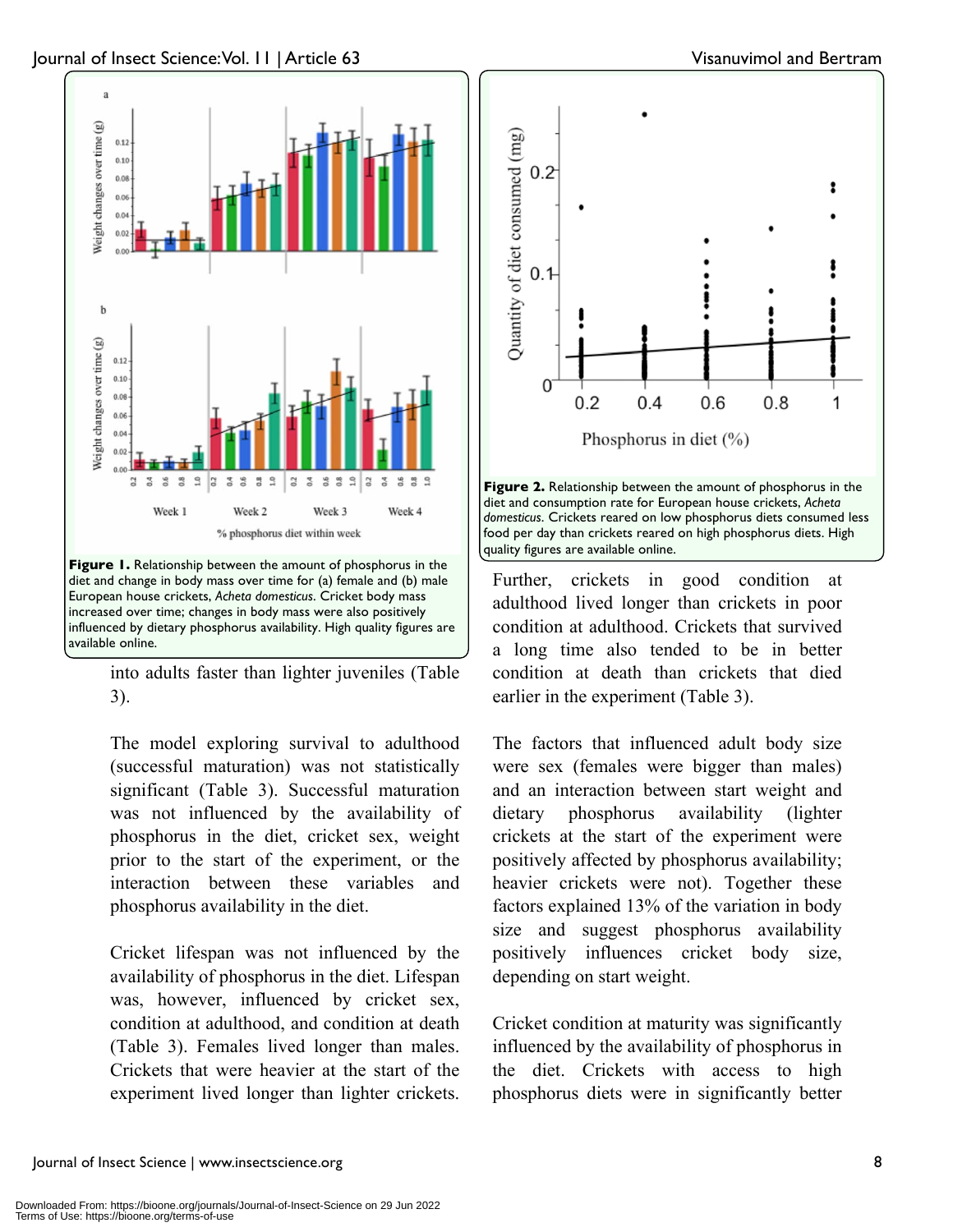

into adults faster than lighter juveniles (Table 3).

The model exploring survival to adulthood (successful maturation) was not statistically significant (Table 3). Successful maturation was not influenced by the availability of phosphorus in the diet, cricket sex, weight prior to the start of the experiment, or the interaction between these variables and phosphorus availability in the diet.

Cricket lifespan was not influenced by the availability of phosphorus in the diet. Lifespan was, however, influenced by cricket sex, condition at adulthood, and condition at death (Table 3). Females lived longer than males. Crickets that were heavier at the start of the experiment lived longer than lighter crickets.



food per day than crickets reared on high phosphorus diets. High quality figures are available online. Further, crickets in good condition at adulthood lived longer than crickets in poor

condition at adulthood. Crickets that survived a long time also tended to be in better condition at death than crickets that died earlier in the experiment (Table 3).

The factors that influenced adult body size were sex (females were bigger than males) and an interaction between start weight and dietary phosphorus availability (lighter crickets at the start of the experiment were positively affected by phosphorus availability; heavier crickets were not). Together these factors explained 13% of the variation in body size and suggest phosphorus availability positively influences cricket body size, depending on start weight.

Cricket condition at maturity was significantly influenced by the availability of phosphorus in the diet. Crickets with access to high phosphorus diets were in significantly better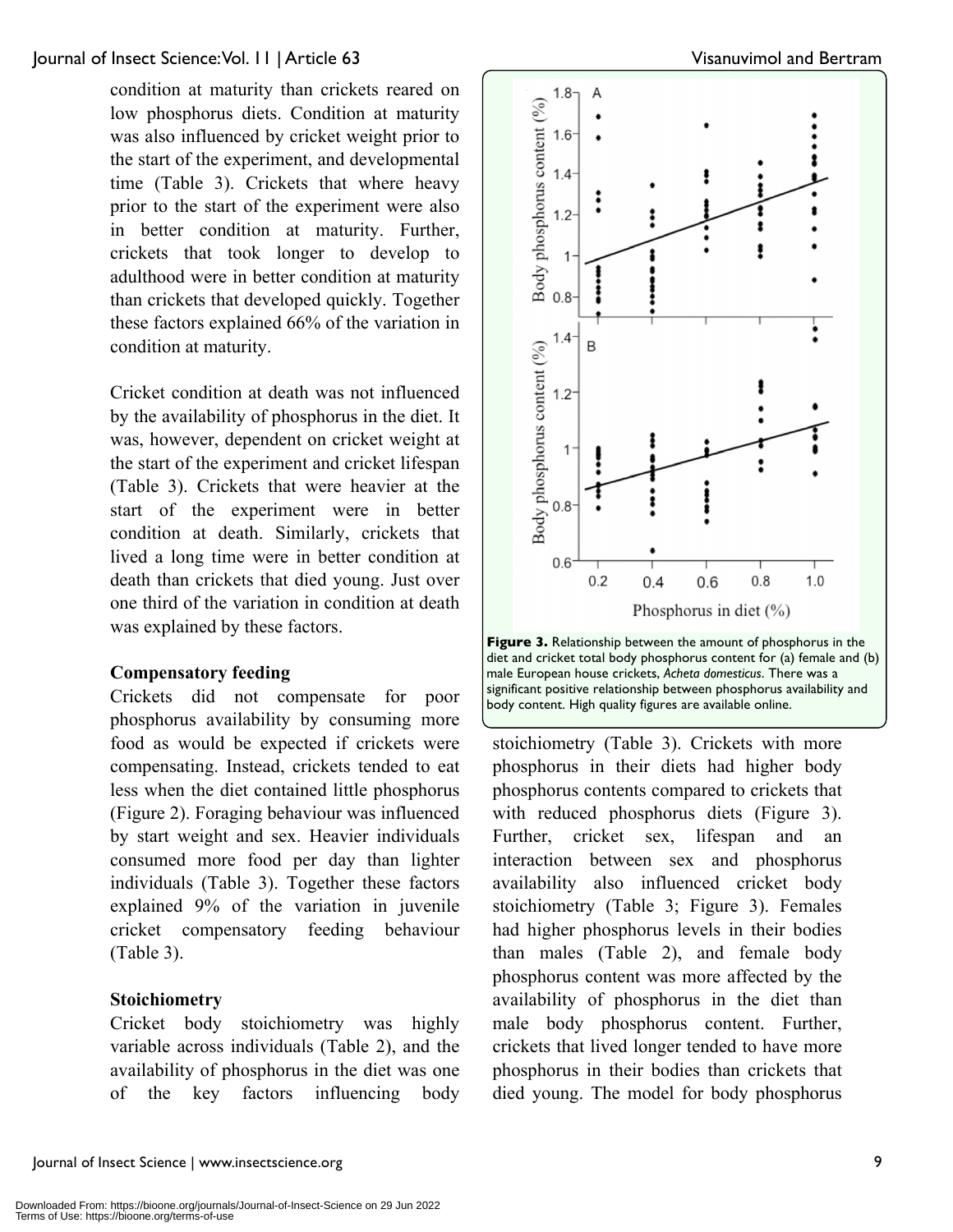condition at maturity than crickets reared on low phosphorus diets. Condition at maturity was also influenced by cricket weight prior to the start of the experiment, and developmental time (Table 3). Crickets that where heavy prior to the start of the experiment were also in better condition at maturity. Further, crickets that took longer to develop to adulthood were in better condition at maturity than crickets that developed quickly. Together these factors explained 66% of the variation in condition at maturity.

Cricket condition at death was not influenced by the availability of phosphorus in the diet. It was, however, dependent on cricket weight at the start of the experiment and cricket lifespan (Table 3). Crickets that were heavier at the start of the experiment were in better condition at death. Similarly, crickets that lived a long time were in better condition at death than crickets that died young. Just over one third of the variation in condition at death was explained by these factors.

#### **Compensatory feeding**

Crickets did not compensate for poor phosphorus availability by consuming more food as would be expected if crickets were compensating. Instead, crickets tended to eat less when the diet contained little phosphorus (Figure 2). Foraging behaviour was influenced by start weight and sex. Heavier individuals consumed more food per day than lighter individuals (Table 3). Together these factors explained 9% of the variation in juvenile cricket compensatory feeding behaviour (Table 3).

#### **Stoichiometry**

Cricket body stoichiometry was highly variable across individuals (Table 2), and the availability of phosphorus in the diet was one of the key factors influencing body



**Figure 3.** Relationship between the amount of phosphorus in the diet and cricket total body phosphorus content for (a) female and (b) male European house crickets, *Acheta domesticus*. There was a significant positive relationship between phosphorus availability and body content. High quality figures are available online.

stoichiometry (Table 3). Crickets with more phosphorus in their diets had higher body phosphorus contents compared to crickets that with reduced phosphorus diets (Figure 3). Further, cricket sex, lifespan and an interaction between sex and phosphorus availability also influenced cricket body stoichiometry (Table 3; Figure 3). Females had higher phosphorus levels in their bodies than males (Table 2), and female body phosphorus content was more affected by the availability of phosphorus in the diet than male body phosphorus content. Further, crickets that lived longer tended to have more phosphorus in their bodies than crickets that died young. The model for body phosphorus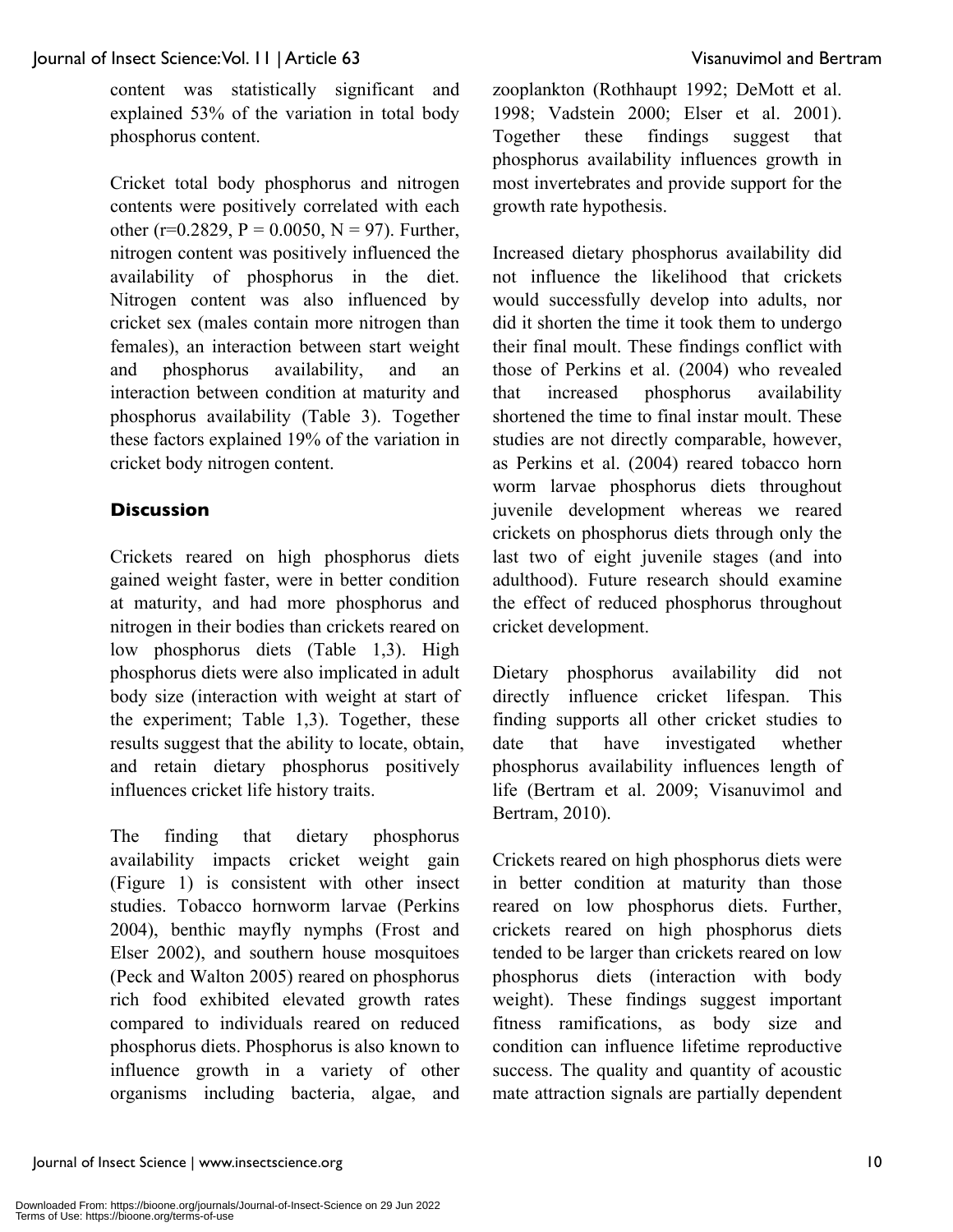content was statistically significant and explained 53% of the variation in total body phosphorus content.

Cricket total body phosphorus and nitrogen contents were positively correlated with each other (r=0.2829, P = 0.0050, N = 97). Further, nitrogen content was positively influenced the availability of phosphorus in the diet. Nitrogen content was also influenced by cricket sex (males contain more nitrogen than females), an interaction between start weight and phosphorus availability, and an interaction between condition at maturity and phosphorus availability (Table 3). Together these factors explained 19% of the variation in cricket body nitrogen content.

## **Discussion**

Crickets reared on high phosphorus diets gained weight faster, were in better condition at maturity, and had more phosphorus and nitrogen in their bodies than crickets reared on low phosphorus diets (Table 1,3). High phosphorus diets were also implicated in adult body size (interaction with weight at start of the experiment; Table 1,3). Together, these results suggest that the ability to locate, obtain, and retain dietary phosphorus positively influences cricket life history traits.

The finding that dietary phosphorus availability impacts cricket weight gain (Figure 1) is consistent with other insect studies. Tobacco hornworm larvae (Perkins 2004), benthic mayfly nymphs (Frost and Elser 2002), and southern house mosquitoes (Peck and Walton 2005) reared on phosphorus rich food exhibited elevated growth rates compared to individuals reared on reduced phosphorus diets. Phosphorus is also known to influence growth in a variety of other organisms including bacteria, algae, and zooplankton (Rothhaupt 1992; DeMott et al. 1998; Vadstein 2000; Elser et al. 2001). Together these findings suggest that phosphorus availability influences growth in most invertebrates and provide support for the growth rate hypothesis.

Increased dietary phosphorus availability did not influence the likelihood that crickets would successfully develop into adults, nor did it shorten the time it took them to undergo their final moult. These findings conflict with those of Perkins et al. (2004) who revealed that increased phosphorus availability shortened the time to final instar moult. These studies are not directly comparable, however, as Perkins et al. (2004) reared tobacco horn worm larvae phosphorus diets throughout juvenile development whereas we reared crickets on phosphorus diets through only the last two of eight juvenile stages (and into adulthood). Future research should examine the effect of reduced phosphorus throughout cricket development.

Dietary phosphorus availability did not directly influence cricket lifespan. This finding supports all other cricket studies to date that have investigated whether phosphorus availability influences length of life (Bertram et al. 2009; Visanuvimol and Bertram, 2010).

Crickets reared on high phosphorus diets were in better condition at maturity than those reared on low phosphorus diets. Further, crickets reared on high phosphorus diets tended to be larger than crickets reared on low phosphorus diets (interaction with body weight). These findings suggest important fitness ramifications, as body size and condition can influence lifetime reproductive success. The quality and quantity of acoustic mate attraction signals are partially dependent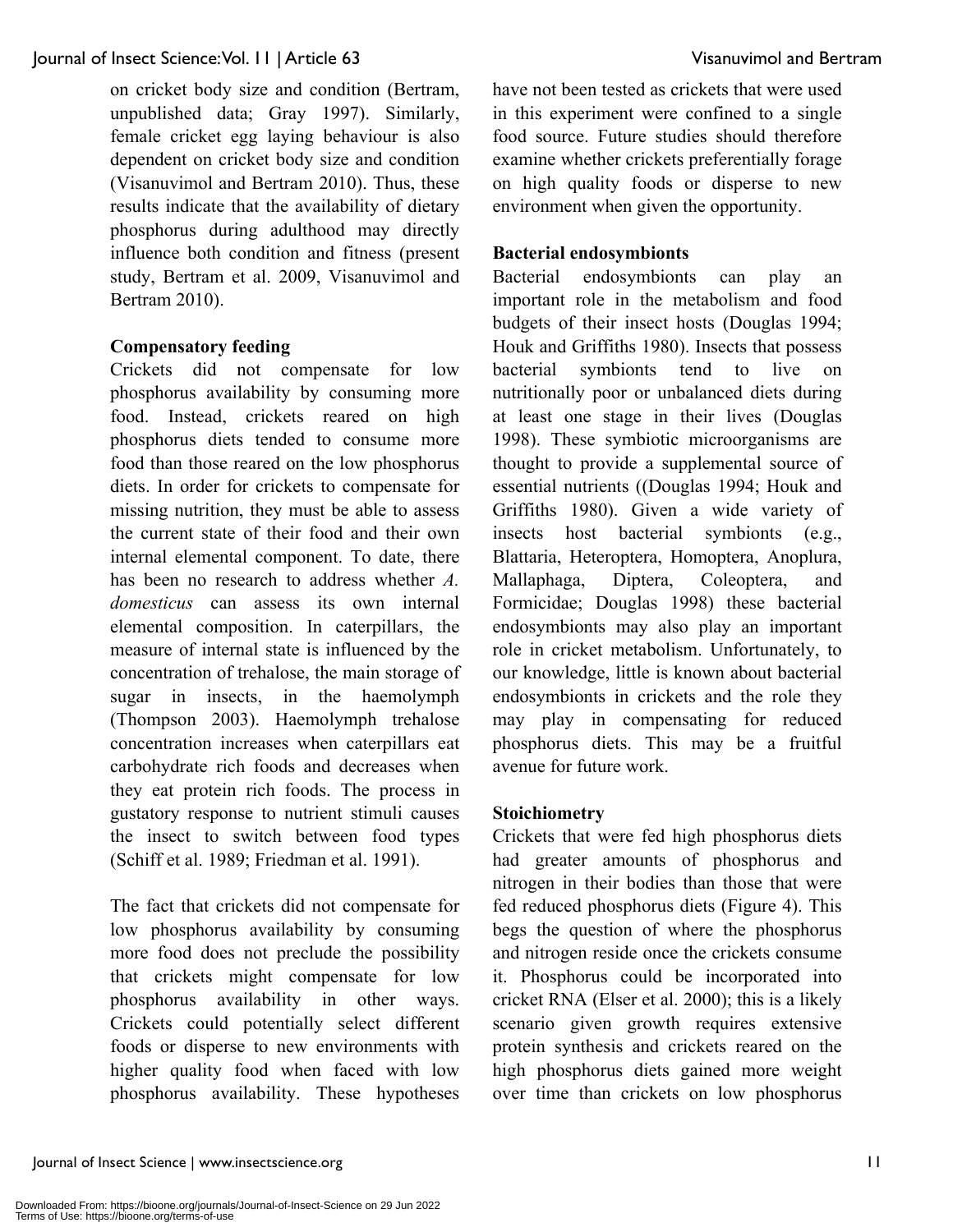on cricket body size and condition (Bertram, unpublished data; Gray 1997). Similarly, female cricket egg laying behaviour is also dependent on cricket body size and condition (Visanuvimol and Bertram 2010). Thus, these results indicate that the availability of dietary phosphorus during adulthood may directly influence both condition and fitness (present study, Bertram et al. 2009, Visanuvimol and Bertram 2010).

#### **Compensatory feeding**

Crickets did not compensate for low phosphorus availability by consuming more food. Instead, crickets reared on high phosphorus diets tended to consume more food than those reared on the low phosphorus diets. In order for crickets to compensate for missing nutrition, they must be able to assess the current state of their food and their own internal elemental component. To date, there has been no research to address whether *A. domesticus* can assess its own internal elemental composition. In caterpillars, the measure of internal state is influenced by the concentration of trehalose, the main storage of sugar in insects, in the haemolymph (Thompson 2003). Haemolymph trehalose concentration increases when caterpillars eat carbohydrate rich foods and decreases when they eat protein rich foods. The process in gustatory response to nutrient stimuli causes the insect to switch between food types (Schiff et al. 1989; Friedman et al. 1991).

The fact that crickets did not compensate for low phosphorus availability by consuming more food does not preclude the possibility that crickets might compensate for low phosphorus availability in other ways. Crickets could potentially select different foods or disperse to new environments with higher quality food when faced with low phosphorus availability. These hypotheses have not been tested as crickets that were used in this experiment were confined to a single food source. Future studies should therefore examine whether crickets preferentially forage on high quality foods or disperse to new environment when given the opportunity.

#### **Bacterial endosymbionts**

Bacterial endosymbionts can play an important role in the metabolism and food budgets of their insect hosts (Douglas 1994; Houk and Griffiths 1980). Insects that possess bacterial symbionts tend to live on nutritionally poor or unbalanced diets during at least one stage in their lives (Douglas 1998). These symbiotic microorganisms are thought to provide a supplemental source of essential nutrients ((Douglas 1994; Houk and Griffiths 1980). Given a wide variety of insects host bacterial symbionts (e.g., Blattaria, Heteroptera, Homoptera, Anoplura, Mallaphaga, Diptera, Coleoptera, and Formicidae; Douglas 1998) these bacterial endosymbionts may also play an important role in cricket metabolism. Unfortunately, to our knowledge, little is known about bacterial endosymbionts in crickets and the role they may play in compensating for reduced phosphorus diets. This may be a fruitful avenue for future work.

#### **Stoichiometry**

Crickets that were fed high phosphorus diets had greater amounts of phosphorus and nitrogen in their bodies than those that were fed reduced phosphorus diets (Figure 4). This begs the question of where the phosphorus and nitrogen reside once the crickets consume it. Phosphorus could be incorporated into cricket RNA (Elser et al. 2000); this is a likely scenario given growth requires extensive protein synthesis and crickets reared on the high phosphorus diets gained more weight over time than crickets on low phosphorus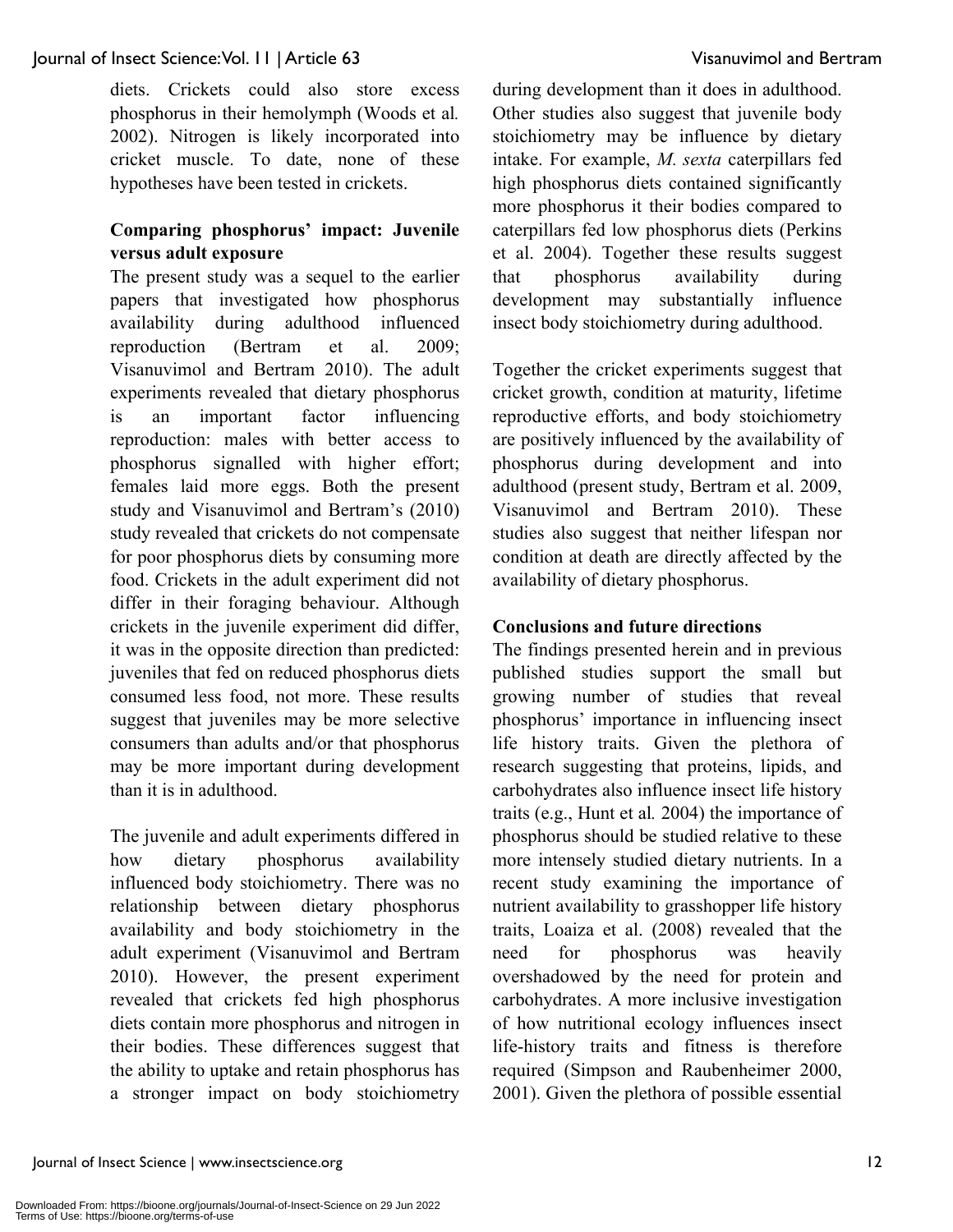diets. Crickets could also store excess phosphorus in their hemolymph (Woods et al*.* 2002). Nitrogen is likely incorporated into cricket muscle. To date, none of these hypotheses have been tested in crickets.

#### **Comparing phosphorus' impact: Juvenile versus adult exposure**

The present study was a sequel to the earlier papers that investigated how phosphorus availability during adulthood influenced reproduction (Bertram et al. 2009; Visanuvimol and Bertram 2010). The adult experiments revealed that dietary phosphorus is an important factor influencing reproduction: males with better access to phosphorus signalled with higher effort; females laid more eggs. Both the present study and Visanuvimol and Bertram's (2010) study revealed that crickets do not compensate for poor phosphorus diets by consuming more food. Crickets in the adult experiment did not differ in their foraging behaviour. Although crickets in the juvenile experiment did differ, it was in the opposite direction than predicted: juveniles that fed on reduced phosphorus diets consumed less food, not more. These results suggest that juveniles may be more selective consumers than adults and/or that phosphorus may be more important during development than it is in adulthood.

The juvenile and adult experiments differed in how dietary phosphorus availability influenced body stoichiometry. There was no relationship between dietary phosphorus availability and body stoichiometry in the adult experiment (Visanuvimol and Bertram 2010). However, the present experiment revealed that crickets fed high phosphorus diets contain more phosphorus and nitrogen in their bodies. These differences suggest that the ability to uptake and retain phosphorus has a stronger impact on body stoichiometry during development than it does in adulthood. Other studies also suggest that juvenile body stoichiometry may be influence by dietary intake. For example, *M. sexta* caterpillars fed high phosphorus diets contained significantly more phosphorus it their bodies compared to caterpillars fed low phosphorus diets (Perkins et al. 2004). Together these results suggest that phosphorus availability during development may substantially influence insect body stoichiometry during adulthood.

Together the cricket experiments suggest that cricket growth, condition at maturity, lifetime reproductive efforts, and body stoichiometry are positively influenced by the availability of phosphorus during development and into adulthood (present study, Bertram et al. 2009, Visanuvimol and Bertram 2010). These studies also suggest that neither lifespan nor condition at death are directly affected by the availability of dietary phosphorus.

#### **Conclusions and future directions**

The findings presented herein and in previous published studies support the small but growing number of studies that reveal phosphorus' importance in influencing insect life history traits. Given the plethora of research suggesting that proteins, lipids, and carbohydrates also influence insect life history traits (e.g., Hunt et al*.* 2004) the importance of phosphorus should be studied relative to these more intensely studied dietary nutrients. In a recent study examining the importance of nutrient availability to grasshopper life history traits, Loaiza et al. (2008) revealed that the need for phosphorus was heavily overshadowed by the need for protein and carbohydrates. A more inclusive investigation of how nutritional ecology influences insect life-history traits and fitness is therefore required (Simpson and Raubenheimer 2000, 2001). Given the plethora of possible essential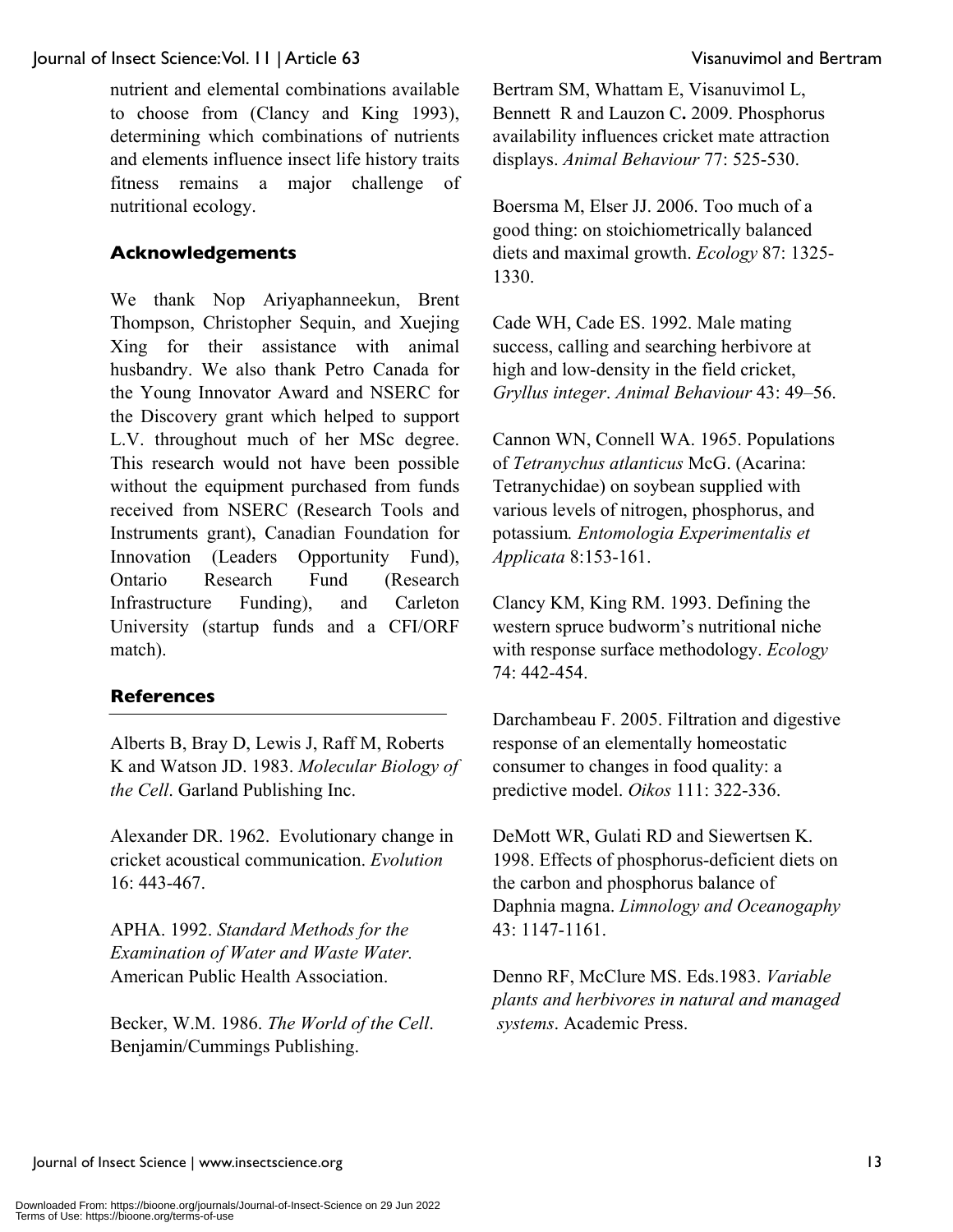nutrient and elemental combinations available to choose from (Clancy and King 1993), determining which combinations of nutrients and elements influence insect life history traits fitness remains a major challenge of nutritional ecology.

### **Acknowledgements**

We thank Nop Ariyaphanneekun, Brent Thompson, Christopher Sequin, and Xuejing Xing for their assistance with animal husbandry. We also thank Petro Canada for the Young Innovator Award and NSERC for the Discovery grant which helped to support L.V. throughout much of her MSc degree. This research would not have been possible without the equipment purchased from funds received from NSERC (Research Tools and Instruments grant), Canadian Foundation for Innovation (Leaders Opportunity Fund), Ontario Research Fund (Research Infrastructure Funding), and Carleton University (startup funds and a CFI/ORF match).

#### **References**

Alberts B, Bray D, Lewis J, Raff M, Roberts K and Watson JD. 1983. *Molecular Biology of the Cell*. Garland Publishing Inc.

Alexander DR. 1962. Evolutionary change in cricket acoustical communication. *Evolution* 16: 443-467.

APHA. 1992. *Standard Methods for the Examination of Water and Waste Water.* American Public Health Association.

Becker, W.M. 1986. *The World of the Cell*. Benjamin/Cummings Publishing.

Bertram SM, Whattam E, Visanuvimol L, Bennett R and Lauzon C**.** 2009. Phosphorus availability influences cricket mate attraction displays. *Animal Behaviour* 77: 525-530.

Boersma M, Elser JJ. 2006. Too much of a good thing: on stoichiometrically balanced diets and maximal growth. *Ecology* 87: 1325- 1330.

Cade WH, Cade ES. 1992. Male mating success, calling and searching herbivore at high and low-density in the field cricket, *Gryllus integer*. *Animal Behaviour* 43: 49–56.

Cannon WN, Connell WA. 1965. Populations of *Tetranychus atlanticus* McG. (Acarina: Tetranychidae) on soybean supplied with various levels of nitrogen, phosphorus, and potassium*. Entomologia Experimentalis et Applicata* 8:153-161.

Clancy KM, King RM. 1993. Defining the western spruce budworm's nutritional niche with response surface methodology. *Ecology* 74: 442-454.

Darchambeau F. 2005. Filtration and digestive response of an elementally homeostatic consumer to changes in food quality: a predictive model. *Oikos* 111: 322-336.

DeMott WR, Gulati RD and Siewertsen K. 1998. Effects of phosphorus-deficient diets on the carbon and phosphorus balance of Daphnia magna. *Limnology and Oceanogaphy*  43: 1147-1161.

Denno RF, McClure MS. Eds.1983. *Variable plants and herbivores in natural and managed systems*. Academic Press.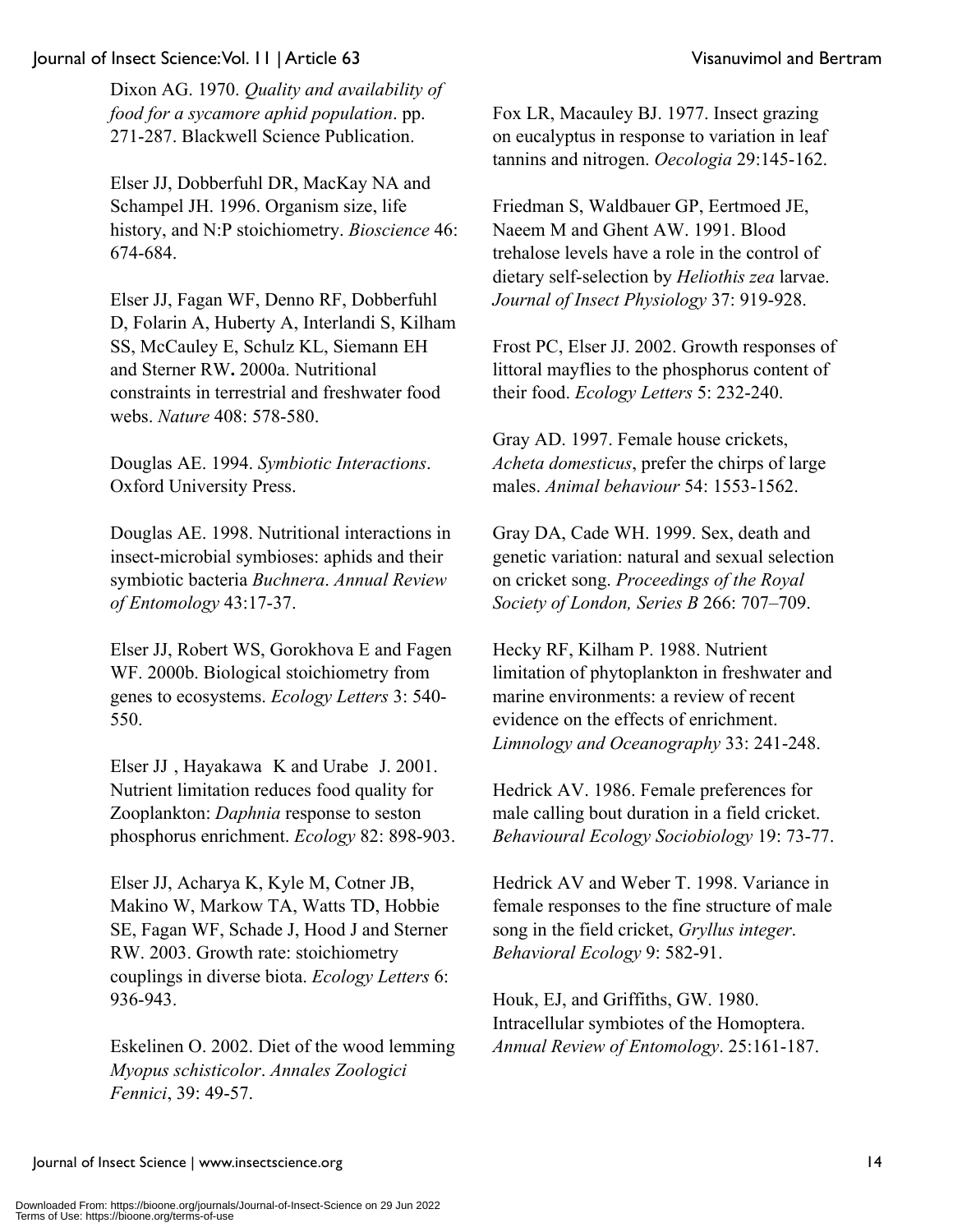Dixon AG. 1970. *Quality and availability of food for a sycamore aphid population*. pp. 271-287. Blackwell Science Publication.

Elser JJ, Dobberfuhl DR, MacKay NA and Schampel JH. 1996. Organism size, life history, and N:P stoichiometry. *Bioscience* 46: 674-684.

Elser JJ, Fagan WF, Denno RF, Dobberfuhl D, Folarin A, Huberty A, Interlandi S, Kilham SS, McCauley E, Schulz KL, Siemann EH and Sterner RW**.** 2000a. Nutritional constraints in terrestrial and freshwater food webs. *Nature* 408: 578-580.

Douglas AE. 1994. *Symbiotic Interactions*. Oxford University Press.

Douglas AE. 1998. Nutritional interactions in insect-microbial symbioses: aphids and their symbiotic bacteria *Buchnera*. *Annual Review of Entomology* 43:17-37.

Elser JJ, Robert WS, Gorokhova E and Fagen WF. 2000b. Biological stoichiometry from genes to ecosystems. *Ecology Letters* 3: 540- 550.

Elser JJ , Hayakawa K and Urabe J. 2001. Nutrient limitation reduces food quality for Zooplankton: *Daphnia* response to seston phosphorus enrichment. *Ecology* 82: 898-903.

Elser JJ, Acharya K, Kyle M, Cotner JB, Makino W, Markow TA, Watts TD, Hobbie SE, Fagan WF, Schade J, Hood J and Sterner RW. 2003. Growth rate: stoichiometry couplings in diverse biota. *Ecology Letters* 6: 936-943.

Eskelinen O. 2002. Diet of the wood lemming *Myopus schisticolor*. *Annales Zoologici Fennici*, 39: 49-57.

Fox LR, Macauley BJ. 1977. Insect grazing on eucalyptus in response to variation in leaf tannins and nitrogen. *Oecologia* 29:145-162.

Friedman S, Waldbauer GP, Eertmoed JE, Naeem M and Ghent AW. 1991. Blood trehalose levels have a role in the control of dietary self-selection by *Heliothis zea* larvae. *Journal of Insect Physiology* 37: 919-928.

Frost PC, Elser JJ. 2002. Growth responses of littoral mayflies to the phosphorus content of their food. *Ecology Letters* 5: 232-240.

Gray AD. 1997. Female house crickets, *Acheta domesticus*, prefer the chirps of large males. *Animal behaviour* 54: 1553-1562.

Gray DA, Cade WH. 1999. Sex, death and genetic variation: natural and sexual selection on cricket song. *Proceedings of the Royal Society of London, Series B* 266: 707–709.

Hecky RF, Kilham P. 1988. Nutrient limitation of phytoplankton in freshwater and marine environments: a review of recent evidence on the effects of enrichment. *Limnology and Oceanography* 33: 241-248.

Hedrick AV. 1986. Female preferences for male calling bout duration in a field cricket. *Behavioural Ecology Sociobiology* 19: 73-77.

Hedrick AV and Weber T. 1998. Variance in female responses to the fine structure of male song in the field cricket, *Gryllus integer*. *Behavioral Ecology* 9: 582-91.

Houk, EJ, and Griffiths, GW. 1980. Intracellular symbiotes of the Homoptera. *Annual Review of Entomology*. 25:161-187.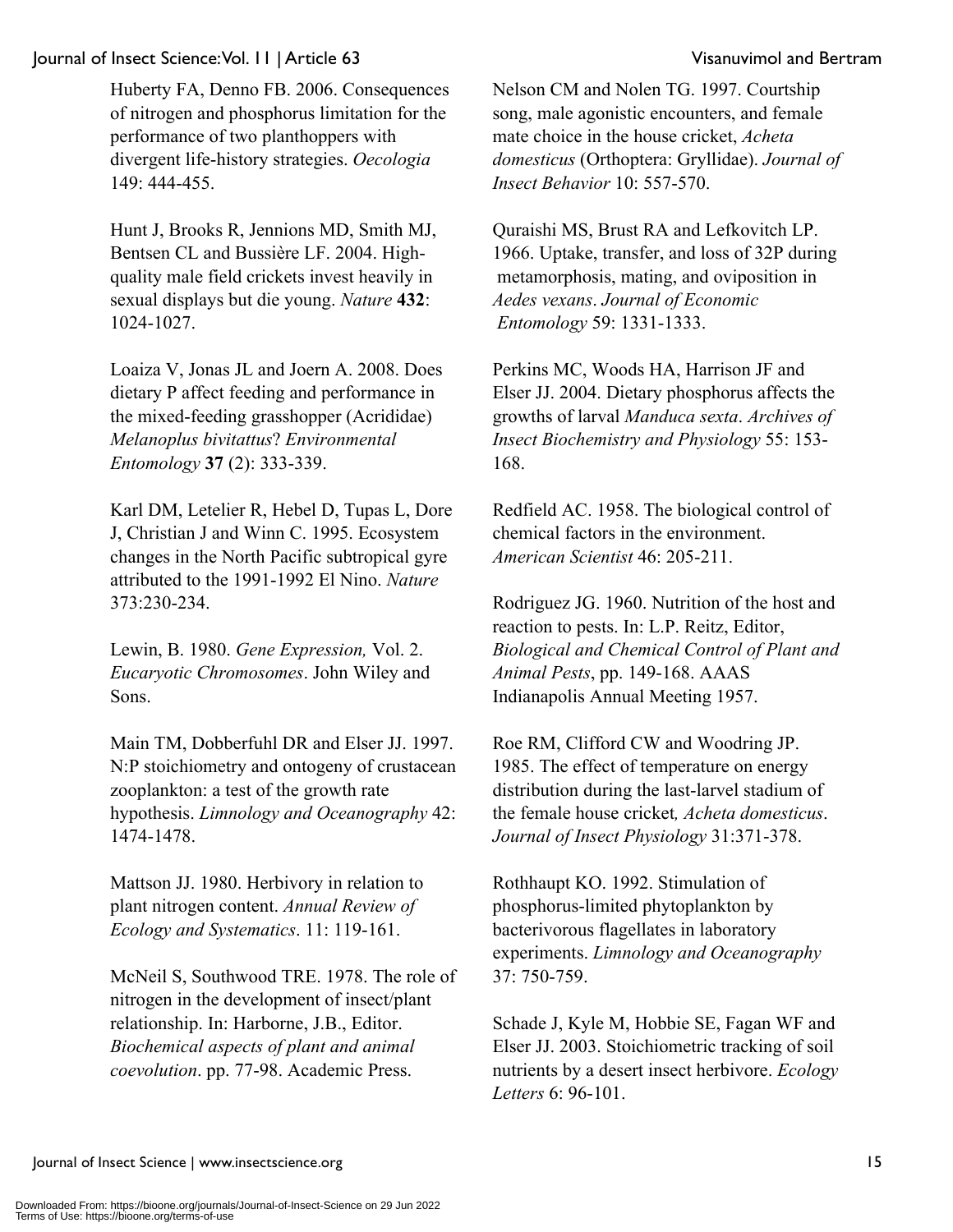Huberty FA, Denno FB. 2006. Consequences of nitrogen and phosphorus limitation for the performance of two planthoppers with divergent life-history strategies. *Oecologia* 149: 444-455.

Hunt J, Brooks R, Jennions MD, Smith MJ, Bentsen CL and Bussière LF. 2004. Highquality male field crickets invest heavily in sexual displays but die young. *Nature* **432**: 1024-1027.

Loaiza V, Jonas JL and Joern A. 2008. Does dietary P affect feeding and performance in the mixed-feeding grasshopper (Acrididae) *Melanoplus bivitattus*? *Environmental Entomology* **37** (2): 333-339.

Karl DM, Letelier R, Hebel D, Tupas L, Dore J, Christian J and Winn C. 1995. Ecosystem changes in the North Pacific subtropical gyre attributed to the 1991-1992 El Nino. *Nature* 373:230-234.

Lewin, B. 1980. *Gene Expression,* Vol. 2. *Eucaryotic Chromosomes*. John Wiley and Sons.

Main TM, Dobberfuhl DR and Elser JJ. 1997. N:P stoichiometry and ontogeny of crustacean zooplankton: a test of the growth rate hypothesis. *Limnology and Oceanography* 42: 1474-1478.

Mattson JJ. 1980. Herbivory in relation to plant nitrogen content. *Annual Review of Ecology and Systematics*. 11: 119-161.

McNeil S, Southwood TRE. 1978. The role of nitrogen in the development of insect/plant relationship. In: Harborne, J.B., Editor. *Biochemical aspects of plant and animal coevolution*. pp. 77-98. Academic Press.

Nelson CM and Nolen TG. 1997. Courtship song, male agonistic encounters, and female mate choice in the house cricket, *Acheta domesticus* (Orthoptera: Gryllidae). *Journal of Insect Behavior* 10: 557-570.

Quraishi MS, Brust RA and Lefkovitch LP. 1966. Uptake, transfer, and loss of 32P during metamorphosis, mating, and oviposition in *Aedes vexans*. *Journal of Economic Entomology* 59: 1331-1333.

Perkins MC, Woods HA, Harrison JF and Elser JJ. 2004. Dietary phosphorus affects the growths of larval *Manduca sexta*. *Archives of Insect Biochemistry and Physiology* 55: 153- 168.

Redfield AC. 1958. The biological control of chemical factors in the environment. *American Scientist* 46: 205-211.

Rodriguez JG. 1960. Nutrition of the host and reaction to pests. In: L.P. Reitz, Editor, *Biological and Chemical Control of Plant and Animal Pests*, pp. 149-168. AAAS Indianapolis Annual Meeting 1957.

Roe RM, Clifford CW and Woodring JP. 1985. The effect of temperature on energy distribution during the last-larvel stadium of the female house cricket*, Acheta domesticus*. *Journal of Insect Physiology* 31:371-378.

Rothhaupt KO. 1992. Stimulation of phosphorus-limited phytoplankton by bacterivorous flagellates in laboratory experiments. *Limnology and Oceanography* 37: 750-759.

Schade J, Kyle M, Hobbie SE, Fagan WF and Elser JJ. 2003. Stoichiometric tracking of soil nutrients by a desert insect herbivore. *Ecology Letters* 6: 96-101.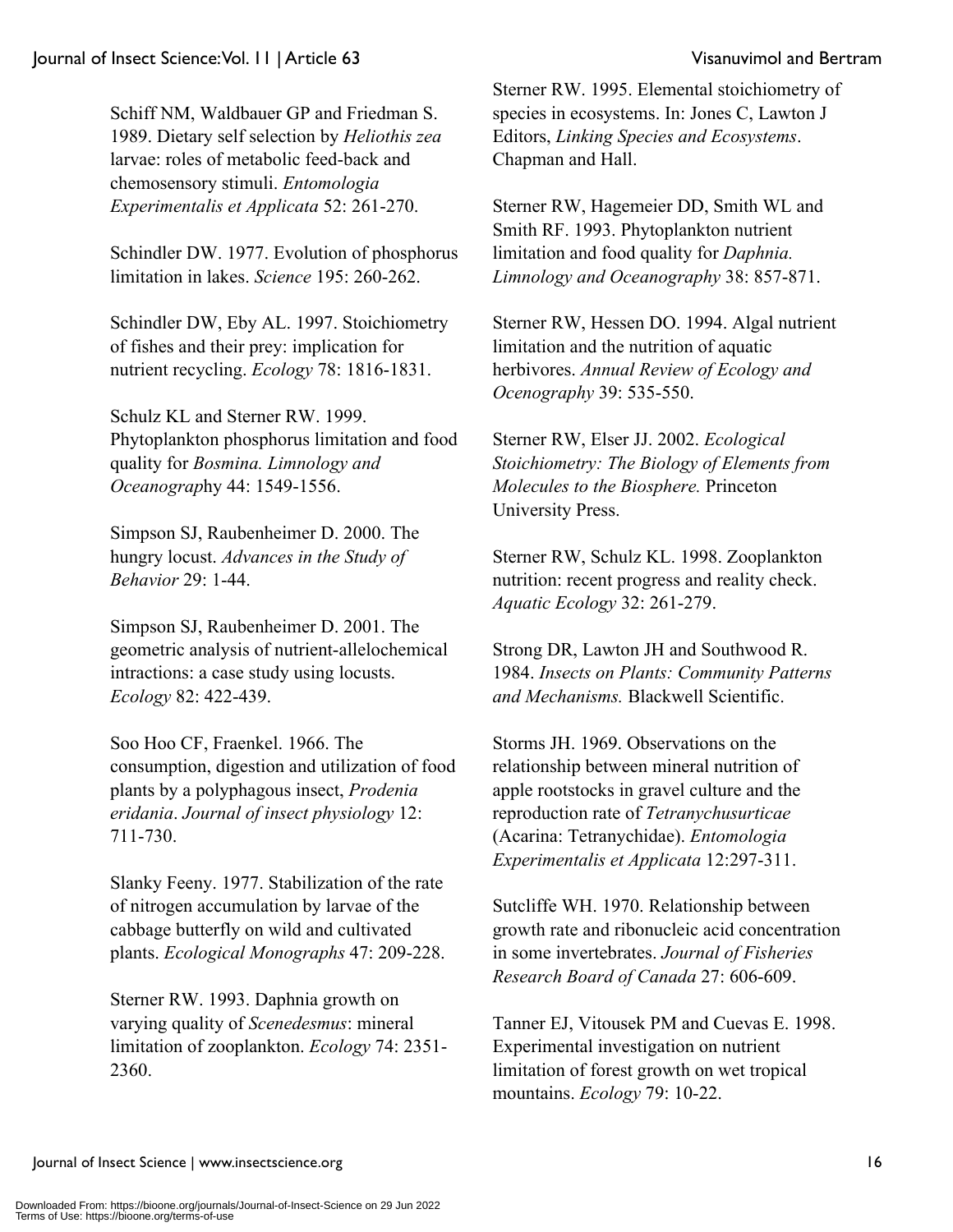Schiff NM, Waldbauer GP and Friedman S. 1989. Dietary self selection by *Heliothis zea* larvae: roles of metabolic feed-back and chemosensory stimuli. *Entomologia Experimentalis et Applicata* 52: 261-270.

Schindler DW. 1977. Evolution of phosphorus limitation in lakes. *Science* 195: 260-262.

Schindler DW, Eby AL. 1997. Stoichiometry of fishes and their prey: implication for nutrient recycling. *Ecology* 78: 1816-1831.

Schulz KL and Sterner RW. 1999. Phytoplankton phosphorus limitation and food quality for *Bosmina. Limnology and Oceanograp*hy 44: 1549-1556.

Simpson SJ, Raubenheimer D. 2000. The hungry locust. *Advances in the Study of Behavior* 29: 1-44.

Simpson SJ, Raubenheimer D. 2001. The geometric analysis of nutrient-allelochemical intractions: a case study using locusts. *Ecology* 82: 422-439.

Soo Hoo CF, Fraenkel. 1966. The consumption, digestion and utilization of food plants by a polyphagous insect, *Prodenia eridania*. *Journal of insect physiology* 12: 711-730.

Slanky Feeny. 1977. Stabilization of the rate of nitrogen accumulation by larvae of the cabbage butterfly on wild and cultivated plants. *Ecological Monographs* 47: 209-228.

Sterner RW. 1993. Daphnia growth on varying quality of *Scenedesmus*: mineral limitation of zooplankton. *Ecology* 74: 2351- 2360.

Sterner RW. 1995. Elemental stoichiometry of species in ecosystems. In: Jones C, Lawton J Editors, *Linking Species and Ecosystems*. Chapman and Hall.

Sterner RW, Hagemeier DD, Smith WL and Smith RF. 1993. Phytoplankton nutrient limitation and food quality for *Daphnia. Limnology and Oceanography* 38: 857-871.

Sterner RW, Hessen DO. 1994. Algal nutrient limitation and the nutrition of aquatic herbivores. *Annual Review of Ecology and Ocenography* 39: 535-550.

Sterner RW, Elser JJ. 2002. *Ecological Stoichiometry: The Biology of Elements from Molecules to the Biosphere.* Princeton University Press.

Sterner RW, Schulz KL. 1998. Zooplankton nutrition: recent progress and reality check. *Aquatic Ecology* 32: 261-279.

Strong DR, Lawton JH and Southwood R. 1984. *Insects on Plants: Community Patterns and Mechanisms.* Blackwell Scientific.

Storms JH. 1969. Observations on the relationship between mineral nutrition of apple rootstocks in gravel culture and the reproduction rate of *Tetranychusurticae* (Acarina: Tetranychidae). *Entomologia Experimentalis et Applicata* 12:297-311.

Sutcliffe WH. 1970. Relationship between growth rate and ribonucleic acid concentration in some invertebrates. *Journal of Fisheries Research Board of Canada* 27: 606-609.

Tanner EJ, Vitousek PM and Cuevas E. 1998. Experimental investigation on nutrient limitation of forest growth on wet tropical mountains. *Ecology* 79: 10-22.